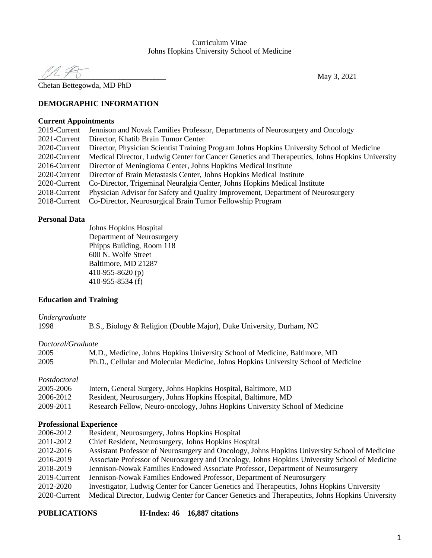#### Curriculum Vitae Johns Hopkins University School of Medicine

**\_\_\_\_\_\_\_\_\_\_\_\_\_\_\_\_\_\_\_\_\_\_\_\_\_\_\_\_\_\_\_\_\_** May 3, 2021

Chetan Bettegowda, MD PhD

#### **DEMOGRAPHIC INFORMATION**

#### **Current Appointments**

| 2019-Current | Jennison and Novak Families Professor, Departments of Neurosurgery and Oncology                |
|--------------|------------------------------------------------------------------------------------------------|
| 2021-Current | Director, Khatib Brain Tumor Center                                                            |
| 2020-Current | Director, Physician Scientist Training Program Johns Hopkins University School of Medicine     |
| 2020-Current | Medical Director, Ludwig Center for Cancer Genetics and Therapeutics, Johns Hopkins University |
| 2016-Current | Director of Meningioma Center, Johns Hopkins Medical Institute                                 |
| 2020-Current | Director of Brain Metastasis Center, Johns Hopkins Medical Institute                           |
| 2020-Current | Co-Director, Trigeminal Neuralgia Center, Johns Hopkins Medical Institute                      |
| 2018-Current | Physician Advisor for Safety and Quality Improvement, Department of Neurosurgery               |
| 2018-Current | Co-Director, Neurosurgical Brain Tumor Fellowship Program                                      |

#### **Personal Data**

Johns Hopkins Hospital Department of Neurosurgery Phipps Building, Room 118 600 N. Wolfe Street Baltimore, MD 21287 410-955-8620 (p) 410-955-8534 (f)

#### **Education and Training**

#### *Undergraduate*

1998 B.S., Biology & Religion (Double Major), Duke University, Durham, NC

#### *Doctoral/Graduate*

| 2005 | M.D., Medicine, Johns Hopkins University School of Medicine, Baltimore, MD          |
|------|-------------------------------------------------------------------------------------|
| 2005 | Ph.D., Cellular and Molecular Medicine, Johns Hopkins University School of Medicine |

#### *Postdoctoral*

| 2005-2006 | Intern, General Surgery, Johns Hopkins Hospital, Baltimore, MD               |
|-----------|------------------------------------------------------------------------------|
| 2006-2012 | Resident, Neurosurgery, Johns Hopkins Hospital, Baltimore, MD                |
| 2009-2011 | Research Fellow, Neuro-oncology, Johns Hopkins University School of Medicine |

#### **Professional Experience**

| 2006-2012    | Resident, Neurosurgery, Johns Hopkins Hospital                                                 |
|--------------|------------------------------------------------------------------------------------------------|
| 2011-2012    | Chief Resident, Neurosurgery, Johns Hopkins Hospital                                           |
| 2012-2016    | Assistant Professor of Neurosurgery and Oncology, Johns Hopkins University School of Medicine  |
| 2016-2019    | Associate Professor of Neurosurgery and Oncology, Johns Hopkins University School of Medicine  |
| 2018-2019    | Jennison-Nowak Families Endowed Associate Professor, Department of Neurosurgery                |
| 2019-Current | Jennison-Nowak Families Endowed Professor, Department of Neurosurgery                          |
| 2012-2020    | Investigator, Ludwig Center for Cancer Genetics and Therapeutics, Johns Hopkins University     |
| 2020-Current | Medical Director, Ludwig Center for Cancer Genetics and Therapeutics, Johns Hopkins University |

**PUBLICATIONS H-Index: 46 16,887 citations**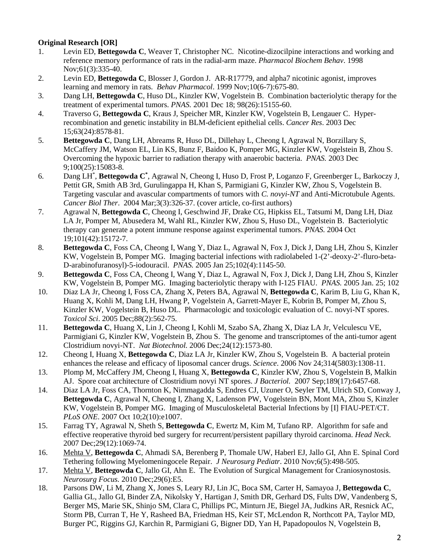### **Original Research [OR]**

- 1. Levin ED, **Bettegowda C**, Weaver T, Christopher NC. Nicotine-dizocilpine interactions and working and reference memory performance of rats in the radial-arm maze. *Pharmacol Biochem Behav*. 1998 Nov;61(3):335-40.
- 2. Levin ED, **Bettegowda C**, Blosser J, Gordon J. AR-R17779, and alpha7 nicotinic agonist, improves learning and memory in rats. *Behav Pharmacol*. 1999 Nov;10(6-7):675-80.
- 3. Dang LH, **Bettegowda C**, Huso DL, Kinzler KW, Vogelstein B. Combination bacteriolytic therapy for the treatment of experimental tumors. *PNAS.* 2001 Dec 18; 98(26):15155-60.
- 4. Traverso G, **Bettegowda C**, Kraus J, Speicher MR, Kinzler KW, Vogelstein B, Lengauer C. Hyperrecombination and genetic instability in BLM-deficient epithelial cells. *Cancer Res*. 2003 Dec 15;63(24):8578-81.
- 5. **Bettegowda C**, Dang LH, Abreams R, Huso DL, Dillehay L, Cheong I, Agrawal N, Borzillary S, McCaffery JM, Watson EL, Lin KS, Bunz F, Baidoo K, Pomper MG, Kinzler KW, Vogelstein B, Zhou S. Overcoming the hypoxic barrier to radiation therapy with anaerobic bacteria. *PNAS.* 2003 Dec 9;100(25):15083-8.
- 6. Dang LH\* , **Bettegowda C\*** , Agrawal N, Cheong I, Huso D, Frost P, Loganzo F, Greenberger L, Barkoczy J, Pettit GR, Smith AB 3rd, Gurulingappa H, Khan S, Parmigiani G, Kinzler KW, Zhou S, Vogelstein B. Targeting vascular and avascular compartments of tumors with *C. novyi-NT* and Anti-Microtubule Agents. *Cancer Biol Ther*. 2004 Mar;3(3):326-37. (cover article, co-first authors)
- 7. Agrawal N, **Bettegowda C**, Cheong I, Geschwind JF, Drake CG, Hipkiss EL, Tatsumi M, Dang LH, Diaz LA Jr, Pomper M, Abusedera M, Wahl RL, Kinzler KW, Zhou S, Huso DL, Vogelstein B. Bacteriolytic therapy can generate a potent immune response against experimental tumors. *PNAS.* 2004 Oct 19;101(42):15172-7.
- 8. **Bettegowda C**, Foss CA, Cheong I, Wang Y, Diaz L, Agrawal N, Fox J, Dick J, Dang LH, Zhou S, Kinzler KW, Vogelstein B, Pomper MG. Imaging bacterial infections with radiolabeled 1-(2'-deoxy-2'-fluro-beta-D-arabinofuranosyl)-5-iodouracil. *PNAS.* 2005 Jan 25;102(4):1145-50.
- 9. **Bettegowda C**, Foss CA, Cheong I, Wang Y, Diaz L, Agrawal N, Fox J, Dick J, Dang LH, Zhou S, Kinzler KW, Vogelstein B, Pomper MG. Imaging bacteriolytic therapy with I-125 FIAU. *PNAS.* 2005 Jan. 25; 102
- 10. Diaz LA Jr, Cheong I, Foss CA, Zhang X, Peters BA, Agrawal N, **Bettegowda C**, Karim B, Liu G, Khan K, Huang X, Kohli M, Dang LH, Hwang P, Vogelstein A, Garrett-Mayer E, Kobrin B, Pomper M, Zhou S, Kinzler KW, Vogelstein B, Huso DL. Pharmacologic and toxicologic evaluation of C. novyi-NT spores. *Toxicol Sci*. 2005 Dec;88(2):562-75.
- 11. **Bettegowda C**, Huang X, Lin J, Cheong I, Kohli M, Szabo SA, Zhang X, Diaz LA Jr, Velculescu VE, Parmigiani G, Kinzler KW, Vogelstein B, Zhou S. The genome and transcriptomes of the anti-tumor agent Clostridium novyi-NT. *Nat Biotechnol.* 2006 Dec;24(12):1573-80.
- 12. Cheong I, Huang X, **Bettegowda C**, Diaz LA Jr, Kinzler KW, Zhou S, Vogelstein B. A bacterial protein enhances the release and efficacy of liposomal cancer drugs. *Science*. 2006 Nov 24;314(5803):1308-11.
- 13. Plomp M, McCaffery JM, Cheong I, Huang X, **Bettegowda C**, Kinzler KW, Zhou S, Vogelstein B, Malkin AJ. Spore coat architecture of Clostridium novyi NT spores. *J Bacteriol.* 2007 Sep;189(17):6457-68.
- 14. Diaz LA Jr, Foss CA, Thornton K, Nimmagadda S, Endres CJ, Uzuner O, Seyler TM, Ulrich SD, Conway J, **Bettegowda C**, Agrawal N, Cheong I, Zhang X, Ladenson PW, Vogelstein BN, Mont MA, Zhou S, Kinzler KW, Vogelstein B, Pomper MG. Imaging of Musculoskeletal Bacterial Infections by [I] FIAU-PET/CT. *PLoS ONE*. 2007 Oct 10;2(10):e1007.
- 15. Farrag TY, Agrawal N, Sheth S, **Bettegowda C**, Ewertz M, Kim M, Tufano RP. Algorithm for safe and effective reoperative thyroid bed surgery for recurrent/persistent papillary thyroid carcinoma. *Head Neck.*  2007 Dec;29(12):1069-74.
- 16. Mehta V, **Bettegowda C**, Ahmadi SA, Berenberg P, Thomale UW, Haberl EJ, Jallo GI, Ahn E. Spinal Cord Tethering following Myelomeningocele Repair. *J Neurosurg Pediatr*. 2010 Nov;6(5):498-505.
- 17. Mehta V, **Bettegowda C**, Jallo GI, Ahn E. The Evolution of Surgical Management for Craniosynostosis. *Neurosurg Focus.* 2010 Dec;29(6):E5.
- 18. Parsons DW, Li M, Zhang X, Jones S, Leary RJ, Lin JC, Boca SM, Carter H, Samayoa J, **Bettegowda C**, Gallia GL, Jallo GI, Binder ZA, Nikolsky Y, Hartigan J, Smith DR, Gerhard DS, Fults DW, Vandenberg S, Berger MS, Marie SK, Shinjo SM, Clara C, Phillips PC, Minturn JE, Biegel JA, Judkins AR, Resnick AC, Storm PB, Curran T, He Y, Rasheed BA, Friedman HS, Keir ST, McLendon R, Northcott PA, Taylor MD, Burger PC, Riggins GJ, Karchin R, Parmigiani G, Bigner DD, Yan H, Papadopoulos N, Vogelstein B,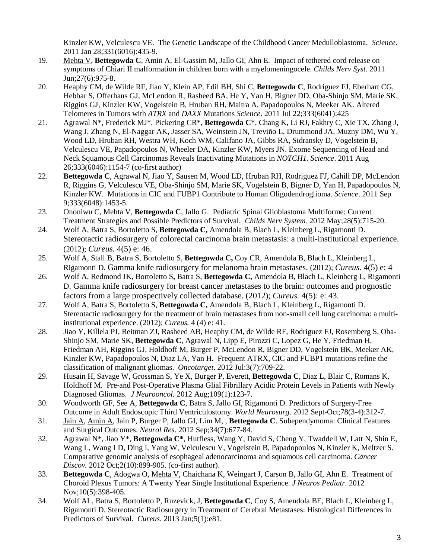Kinzler KW, Velculescu VE. The Genetic Landscape of the Childhood Cancer Medulloblastoma. *Science*. 2011 Jan 28;331(6016):435-9.

- 19. Mehta V, **Bettegowda C**, Amin A, El-Gassim M, Jallo GI, Ahn E. Impact of tethered cord release on symptoms of Chiari II malformation in children born with a myelomeningocele. *Childs Nerv Syst*. 2011 Jun;27(6):975-8.
- 20. Heaphy CM, de Wilde RF, Jiao Y, Klein AP, Edil BH, Shi C, **Bettegowda C**, Rodriguez FJ, Eberhart CG, Hebbar S, Offerhaus GJ, McLendon R, Rasheed BA, He Y, Yan H, Bigner DD, Oba-Shinjo SM, Marie SK, Riggins GJ, Kinzler KW, Vogelstein B, Hruban RH, Maitra A, Papadopoulos N, Meeker AK. Altered Telomeres in Tumors with *ATRX* and *DAXX* Mutations *Science*. 2011 Jul 22;333(6041):425
- 21. Agrawal N\*, Frederick MJ\*, Pickering CR\*, **Bettegowda C**\*, Chang K, Li RJ, Fakhry C, Xie TX, Zhang J, Wang J, Zhang N, El-Naggar AK, Jasser SA, Weinstein JN, Treviño L, Drummond JA, Muzny DM, Wu Y, Wood LD, Hruban RH, Westra WH, Koch WM, Califano JA, Gibbs RA, Sidransky D, Vogelstein B, Velculescu VE, Papadopoulos N, Wheeler DA, Kinzler KW, Myers JN. Exome Sequencing of Head and Neck Squamous Cell Carcinomas Reveals Inactivating Mutations in *NOTCH1. Science*. 2011 Aug 26;333(6046):1154-7 (co-first author)
- 22. **Bettegowda C**, Agrawal N, Jiao Y, Sausen M, Wood LD, Hruban RH, Rodriguez FJ, Cahill DP, McLendon R, Riggins G, Velculescu VE, Oba-Shinjo SM, Marie SK, Vogelstein B, Bigner D, Yan H, Papadopoulos N, Kinzler KW. Mutations in CIC and FUBP1 Contribute to Human Oligodendroglioma. *Science*. 2011 Sep 9;333(6048):1453-5.
- 23. Ononiwu C, Mehta V, **Bettegowda C**, Jallo G. Pediatric Spinal Glioblastoma Multiforme: Current Treatment Strategies and Possible Predictors of Survival. *Childs Nerv System.* 2012 May;28(5):715-20.
- 24. Wolf A, Batra S, Bortoletto S, **Bettegowda C,** Amendola B, Blach L, Kleinberg L, Rigamonti D. Stereotactic radiosurgery of colorectal carcinoma brain metastasis: a multi-institutional experience. (2012); *Cureus.* 4(5) e: 46.
- 25. Wolf A, Stall B, Batra S, Bortoletto S, **Bettegowda C,** Coy CR, Amendola B, Blach L, Kleinberg L, Rigamonti D. Gamma knife radiosurgery for melanoma brain metastases. (2012); *Cureus.* 4(5) e: 4
- 26. Wolf A, Redmond JK, Bortoletto S**,** Batra S, **Bettegowda C,** Amendola B, Blach L, Kleinberg L, Rigamonti D. Gamma knife radiosurgery for breast cancer metastases to the brain: outcomes and prognostic factors from a large prospectively collected database. (2012); *Cureus.* 4(5): e: 43.
- 27. Wolf A, Batra S, Bortoletto S, **Bettegowda C,** Amendola B, Blach L, Kleinberg L, Rigamonti D. Stereotactic radiosurgery for the treatment of brain metastases from non-small cell lung carcinoma: a multiinstitutional experience. (2012); *Cureus.* 4 (4) e: 41.
- 28. Jiao Y, Killela PJ, Reitman ZJ, Rasheed AB, Heaphy CM, de Wilde RF, Rodriguez FJ, Rosemberg S, Oba-Shinjo SM, Marie SK, **Bettegowda C**, Agrawal N, Lipp E, Pirozzi C, Lopez G, He Y, Friedman H, Friedman AH, Riggins GJ, Holdhoff M, Burger P, McLendon R, Bigner DD, Vogelstein BK, Meeker AK, Kinzler KW, Papadopoulos N, Diaz LA, Yan H. Frequent ATRX, CIC and FUBP1 mutations refine the classification of malignant gliomas. *Oncotarget*. 2012 Jul:3(7):709-22.
- 29. Husain H, Savage W, Grossman S, Ye X, Burger P, Everett, **Bettegowda C**, Diaz L, Blair C, Romans K, Holdhoff M. Pre-and Post-Operative Plasma Glial Fibrillary Acidic Protein Levels in Patients with Newly Diagnosed Gliomas. *J Neurooncol.* 2012 Aug;109(1):123-7.
- 30. Woodworth GF, See A, **Bettegowda C**, Batra S, Jallo GI, Rigamonti D. Predictors of Surgery-Free Outcome in Adult Endoscopic Third Ventriculostomy. *World Neurosurg*. 2012 Sept-Oct;78(3-4):312-7.
- 31. Jain A, Amin A, Jain P, Burger P, Jallo GI, Lim M, , **Bettegowda C**. Subependymoma: Clinical Features and Surgical Outcomes. *Neurol Res*. 2012 Sep;34(7):677-84.
- 32. Agrawal N\*, Jiao Y\*, **Bettegowda C\***, Hutfless, Wang Y, David S, Cheng Y, Twaddell W, Latt N, Shin E, Wang L, Wang LD, Ding I, Yang W, Velculescu V, Vogelstein B, Papadopoulos N, Kinzler K, Meltzer S. Comparative genomic analysis of esophageal adenocarcinoma and squamous cell carcinoma. *Cancer Discov.* 2012 Oct;2(10):899-905. (co-first author).
- 33. **Bettegowda C**, Adogwa O, Mehta V, Chaichana K, Weingart J, Carson B, Jallo GI, Ahn E. Treatment of Choroid Plexus Tumors: A Twenty Year Single Institutional Experience. *J Neuros Pediatr.* 2012 Nov;10(5):398-405.
- 34. Wolf AL, Batra S, Bortoletto P, Ruzevick, J, **Bettegowda C**, Coy S, Amendola BE, Blach L, Kleinberg L, Rigamonti D. Stereotactic Radiosurgery in Treatment of Cerebral Metastases: Histological Differences in Predictors of Survival. *Cureus.* 2013 Jan;5(1):e81.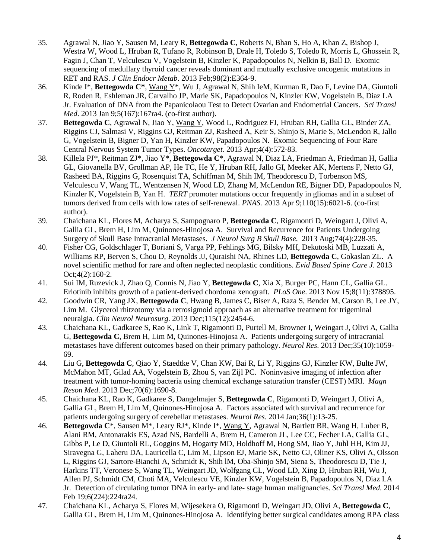- 35. Agrawal N, Jiao Y, Sausen M, Leary R, **Bettegowda C**, Roberts N, Bhan S, Ho A, Khan Z, Bishop J, Westra W, Wood L, Hruban R, Tufano R, Robinson B, Drale H, Toledo S, Toledo R, Morris L, Ghossein R, Fagin J, Chan T, Velculescu V, Vogelstein B, Kinzler K, Papadopoulos N, Nelkin B, Ball D. Exomic sequencing of medullary thyroid cancer reveals dominant and mutually exclusive oncogenic mutations in RET and RAS. *J Clin Endocr Metab*. 2013 Feb;98(2):E364-9.
- 36. Kinde I\*, **Bettegowda C\***, Wang Y\*, Wu J, Agrawal N, Shih IeM, Kurman R, Dao F, Levine DA, Giuntoli R, Roden R, Eshleman JR, Carvalho JP, Marie SK, Papadopoulos N, Kinzler KW, Vogelstein B, Diaz LA Jr. Evaluation of DNA from the Papanicolaou Test to Detect Ovarian and Endometrial Cancers. *Sci Transl Med*. 2013 Jan 9;5(167):167ra4. (co-first author).
- 37. **Bettegowda C**, Agrawal N, Jiao Y, Wang Y, Wood L, Rodriguez FJ, Hruban RH, Gallia GL, Binder ZA, Riggins CJ, Salmasi V, Riggins GJ, Reitman ZJ, Rasheed A, Keir S, Shinjo S, Marie S, McLendon R, Jallo G, Vogelstein B, Bigner D, Yan H, Kinzler KW, Papadopoulos N. Exomic Sequencing of Four Rare Central Nervous System Tumor Types. *Oncotarget.* 2013 Apr;4(4):572-83.
- 38. Killela PJ\*, Reitman ZJ\*, Jiao Y\*, **Bettegowda C**\*, Agrawal N, Diaz LA, Friedman A, Friedman H, Gallia GL, Giovanella BV, Grollman AP, He TC, He Y, Hruban RH, Jallo GI, Meeker AK, Mertens F, Netto GJ, Rasheed BA, Riggins G, Rosenquist TA, Schiffman M, Shih IM, Theodorescu D, Torbenson MS, Velculescu V, Wang TL, Wentzensen N, Wood LD, Zhang M, McLendon RE, Bigner DD, Papadopoulos N, Kinzler K, Vogelstein B, Yan H. *TERT* promoter mutations occur frequently in gliomas and in a subset of tumors derived from cells with low rates of self-renewal. *PNAS.* 2013 Apr 9;110(15):6021-6. (co-first author).
- 39. Chaichana KL, Flores M, Acharya S, Sampognaro P, **Bettegowda C**, Rigamonti D, Weingart J, Olivi A, Gallia GL, Brem H, Lim M, Quinones-Hinojosa A. Survival and Recurrence for Patients Undergoing Surgery of Skull Base Intracranial Metastases. *J Neurol Surg B Skull Base.* 2013 Aug;74(4):228-35.
- 40. Fisher CG, Goldschlager T, Boriani S, Varga PP, Fehlings MG, Bilsky MH, Dekutoski MB, Luzzati A, Williams RP, Berven S, Chou D, Reynolds JJ, Quraishi NA, Rhines LD, **Bettegowda C**, Gokaslan ZL. A novel scientific method for rare and often neglected neoplastic conditions. *Evid Based Spine Care J*. 2013 Oct;4(2):160-2.
- 41. Sui IM, Ruzevick J, Zhao Q, Connis N, Jiao Y, **Bettegowda C**, Xia X, Burger PC, Hann CL, Gallia GL. Erlotinib inhibits growth of a patient-derived chordoma xenograft. *PLoS One*. 2013 Nov 15;8(11):378895.
- 42. Goodwin CR, Yang JX, **Bettegowda C**, Hwang B, James C, Biser A, Raza S, Bender M, Carson B, Lee JY, Lim M. Glycerol rhitzotomy via a retrosigmoid approach as an alternative treatment for trigeminal neuralgia. *Clin Neurol Neurosurg*. 2013 Dec;115(12):2454-6.
- 43. Chaichana KL, Gadkaree S, Rao K, Link T, Rigamonti D, Purtell M, Browner I, Weingart J, Olivi A, Gallia G, **Bettegowda C**, Brem H, Lim M, Quinones-Hinojosa A. Patients undergoing surgery of intracranial metastases have different outcomes based on their primary pathology. *Neurol Res*. 2013 Dec;35(10):1059- 69.
- 44. Liu G, **Bettegowda C**, Qiao Y, Staedtke V, Chan KW, Bai R, Li Y, Riggins GJ, Kinzler KW, Bulte JW, McMahon MT, Gilad AA, Vogelstein B, Zhou S, van Zijl PC. Noninvasive imaging of infection after treatment with tumor-homing bacteria using chemical exchange saturation transfer (CEST) MRI. *Magn Reson Med*. 2013 Dec;70(6):1690-8.
- 45. Chaichana KL, Rao K, Gadkaree S, Dangelmajer S, **Bettegowda C**, Rigamonti D, Weingart J, Olivi A, Gallia GL, Brem H, Lim M, Quinones-Hinojosa A. Factors associated with survival and recurrence for patients undergoing surgery of cerebellar metastases. *Neurol Res*. 2014 Jan;36(1):13-25.
- 46. **Bettegowda C**\*, Sausen M\*, Leary RJ\*, Kinde I\*, Wang Y, Agrawal N, Bartlett BR, Wang H, Luber B, Alani RM, Antonarakis ES, Azad NS, Bardelli A, Brem H, Cameron JL, Lee CC, Fecher LA, Gallia GL, Gibbs P, Le D, Giuntoli RL, Goggins M, Hogarty MD, Holdhoff M, Hong SM, Jiao Y, Juhl HH, Kim JJ, Siravegna G, Laheru DA, Lauricella C, Lim M, Lipson EJ, Marie SK, Netto GJ, Oliner KS, Olivi A, Olsson L, Riggins GJ, Sartore-Bianchi A, Schmidt K, Shih lM, Oba-Shinjo SM, Siena S, Theodorescu D, Tie J, Harkins TT, Veronese S, Wang TL, Weingart JD, Wolfgang CL, Wood LD, Xing D, Hruban RH, Wu J, Allen PJ, Schmidt CM, Choti MA, Velculescu VE, Kinzler KW, Vogelstein B, Papadopoulos N, Diaz LA Jr. Detection of circulating tumor DNA in early- and late- stage human malignancies. *Sci Transl Med*. 2014 Feb 19;6(224):224ra24.
- 47. Chaichana KL, Acharya S, Flores M, Wijesekera O, Rigamonti D, Weingart JD, Olivi A, **Bettegowda C**, Gallia GL, Brem H, Lim M, Quinones-Hinojosa A. Identifying better surgical candidates among RPA class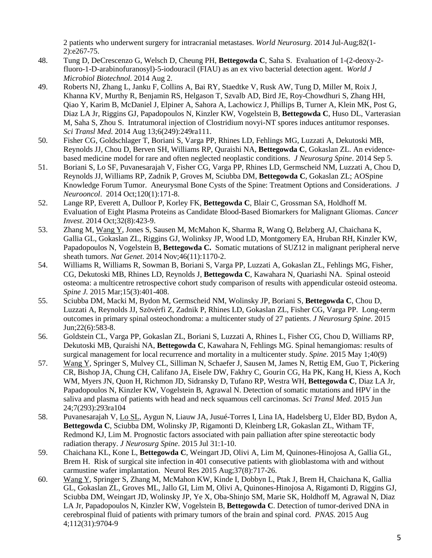2 patients who underwent surgery for intracranial metastases. *World Neurosurg*. 2014 Jul-Aug;82(1- 2):e267-75.

- 48. Tung D, DeCrescenzo G, Welsch D, Cheung PH, **Bettegowda C**, Saha S. [Evaluation of 1-\(2-deoxy-2](http://www.ncbi.nlm.nih.gov/pubmed/25085723) [fluoro-1-D-arabinofuranosyl\)-5-iodouracil \(FIAU\) as an ex vivo bacterial detection agent.](http://www.ncbi.nlm.nih.gov/pubmed/25085723) *World J Microbiol Biotechnol.* 2014 Aug 2.
- 49. Roberts NJ, Zhang L, Janku F, Collins A, Bai RY, Staedtke V, Rusk AW, Tung D, Miller M, Roix J, Khanna KV, Murthy R, Benjamin RS, Helgason T, Szvalb AD, Bird JE, Roy-Chowdhuri S, Zhang HH, Qiao Y, Karim B, McDaniel J, Elpiner A, Sahora A, Lachowicz J, Phillips B, Turner A, Klein MK, Post G, Diaz LA Jr, Riggins GJ, Papadopoulos N, Kinzler KW, Vogelstein B, **Bettegowda C**, Huso DL, Varterasian M, Saha S, Zhou S. Intratumoral injection of Clostridium novyi-NT spores induces antitumor responses. *Sci Transl Med*. 2014 Aug 13;6(249):249ra111.
- 50. Fisher CG, Goldschlager T, Boriani S, Varga PP, Rhines LD, Fehlings MG, Luzzati A, Dekutoski MB, Reynolds JJ, Chou D, Berven SH, Williams RP, Quraishi NA, **Bettegowda C**, Gokaslan ZL. [An evidence](http://www.ncbi.nlm.nih.gov/pubmed/25192373)[based medicine model for rare and often neglected neoplastic conditions.](http://www.ncbi.nlm.nih.gov/pubmed/25192373) *J Neurosurg Spine*. 2014 Sep 5.
- 51. Boriani S, Lo SF, Puvanesarajah V, Fisher CG, Varga PP, Rhines LD, Germscheid NM, Luzzati A, Chou D, Reynolds JJ, Williams RP, Zadnik P, Groves M, Sciubba DM, **Bettegowda C**, Gokaslan ZL; AOSpine Knowledge Forum Tumor. Aneurysmal Bone Cysts of the Spine: Treatment Options and Considerations. *J Neurooncol*. 2014 Oct;120(1):171-8.
- 52. Lange RP, Everett A, Dulloor P, Korley FK, **Bettegowda C**, Blair C, Grossman SA, Holdhoff M. Evaluation of Eight Plasma Proteins as Candidate Blood-Based Biomarkers for Malignant Gliomas. *Cancer Invest*. 2014 Oct;32(8):423-9.
- 53. Zhang M, Wang Y, Jones S, Sausen M, McMahon K, Sharma R, Wang Q, Belzberg AJ, Chaichana K, Gallia GL, Gokaslan ZL, Riggins GJ, Wolinksy JP, Wood LD, Montgomery EA, Hruban RH, Kinzler KW, Papadopoulos N, Vogelstein B, **Bettegowda C.** [Somatic mutations of SUZ12 in malignant peripheral nerve](http://www.ncbi.nlm.nih.gov/pubmed/25305755)  [sheath tumors.](http://www.ncbi.nlm.nih.gov/pubmed/25305755) *Nat Genet*. 2014 Nov;46(11):1170-2.
- 54. Williams R, Williams R, Sowman B, Boriani S, Varga PP, Luzzati A, Gokaslan ZL, Fehlings MG, Fisher, CG, Dekutoski MB, Rhines LD, Reynolds J, **Bettegowda C**, Kawahara N, Quariashi NA. Spinal osteoid osteoma: a multicentre retrospective cohort study comparison of results with appendicular osteoid osteoma. *Spine J.* 2015 Mar;15(3):401-408.
- 55. Sciubba DM, Macki M, Bydon M, Germscheid NM, Wolinsky JP, Boriani S, **Bettegowda C**, Chou D, Luzzati A, Reynolds JJ, Szövérfi Z, Zadnik P, Rhines LD, Gokaslan ZL, Fisher CG, Varga PP. Long-term outcomes in primary spinal osteochondroma: a multicenter study of 27 patients. *J Neurosurg Spine*. 2015 Jun;22(6):583-8.
- 56. Goldstein CL, Varga PP, Gokaslan ZL, Boriani S, Luzzati A, Rhines L, Fisher CG, Chou D, Williams RP, Dekutoski MB, Quraishi NA, **Bettegowda C**, Kawahara N, Fehlings MG. Spinal hemangiomas: results of surgical management for local recurrence and mortality in a multicenter study. *Spine*. 2015 May 1;40(9)
- 57. Wang Y, Springer S, Mulvey CL, Silliman N, Schaefer J, Sausen M, James N, Rettig EM, Guo T, Pickering CR, Bishop JA, Chung CH, Califano JA, Eisele DW, Fakhry C, Gourin CG, Ha PK, Kang H, Kiess A, Koch WM, Myers JN, Quon H, Richmon JD, Sidransky D, Tufano RP, Westra WH, **Bettegowda C**, Diaz LA Jr, Papadopoulos N, Kinzler KW, Vogelstein B, Agrawal N. Detection of somatic mutations and HPV in the saliva and plasma of patients with head and neck squamous cell carcinomas. *Sci Transl Med*. 2015 Jun 24;7(293):293ra104
- 58. Puvanesarajah V, Lo SL, Aygun N, Liauw JA, Jusué-Torres I, Lina IA, Hadelsberg U, Elder BD, Bydon A, **Bettegowda C**, Sciubba DM, Wolinsky JP, Rigamonti D, Kleinberg LR, Gokaslan ZL, Witham TF, Redmond KJ, Lim M. Prognostic factors associated with pain palliation after spine stereotactic body radiation therapy. *J Neurosurg Spine*. 2015 Jul 31:1-10.
- 59. Chaichana KL, Kone L, **Bettegowda C**, Weingart JD, Olivi A, Lim M, Quinones-Hinojosa A, Gallia GL, Brem H. Risk of surgical site infection in 401 consecutive patients with glioblastoma with and without carmustine wafer implantation. Neurol Res 2015 Aug;37(8):717-26.
- 60. Wang Y, Springer S, Zhang M, McMahon KW, Kinde I, Dobbyn L, Ptak J, Brem H, Chaichana K, Gallia GL, Gokaslan ZL, Groves ML, Jallo GI, Lim M, Olivi A, Quinones-Hinojosa A, Rigamonti D, Riggins GJ, Sciubba DM, Weingart JD, Wolinsky JP, Ye X, Oba-Shinjo SM, Marie SK, Holdhoff M, Agrawal N, Diaz LA Jr, Papadopoulos N, Kinzler KW, Vogelstein B, **Bettegowda C**. Detection of tumor-derived DNA in cerebrospinal fluid of patients with primary tumors of the brain and spinal cord. *PNAS*. 2015 Aug 4;112(31):9704-9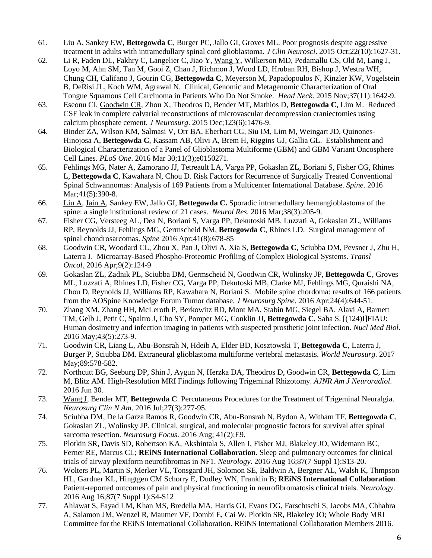- 61. Liu A, Sankey EW, **Bettegowda C**, Burger PC, Jallo GI, Groves ML. Poor prognosis despite aggressive treatment in adults with intramedullary spinal cord glioblastoma. *J Clin Neurosci*. 2015 Oct;22(10):1627-31.
- 62. Li R, Faden DL, Fakhry C, Langelier C, Jiao Y, Wang Y, Wilkerson MD, Pedamallu CS, Old M, Lang J, Loyo M, Ahn SM, Tan M, Gooi Z, Chan J, Richmon J, Wood LD, Hruban RH, Bishop J, Westra WH, Chung CH, Califano J, Gourin CG, **Bettegowda C**, Meyerson M, Papadopoulos N, Kinzler KW, Vogelstein B, DeRisi JL, Koch WM, Agrawal N. Clinical, Genomic and Metagenomic Characterization of Oral Tongue Squamous Cell Carcinoma in Patients Who Do Not Smoke. *Head Neck*. 2015 Nov;37(11):1642-9.
- 63. Eseonu CI, Goodwin CR, Zhou X, Theodros D, Bender MT, Mathios D, **Bettegowda C**, Lim M. Reduced CSF leak in complete calvarial reconstructions of microvascular decompression craniectomies using calcium phosphate cement. *J Neurosurg*. 2015 Dec;123(6):1476-9.
- 64. Binder ZA, Wilson KM, Salmasi V, Orr BA, Eberhart CG, Siu IM, Lim M, Weingart JD, Quinones-Hinojosa A, **Bettegowda C**, Kassam AB, Olivi A, Brem H, Riggins GJ, Gallia GL. Establishment and Biological Characterization of a Panel of Glioblastoma Multiforme (GBM) and GBM Variant Oncosphere Cell Lines. *[PLoS One](http://www.ncbi.nlm.nih.gov/pubmed/27028405)*. 2016 Mar 30;11(3);e0150271.
- 65. Fehlings MG, Nater A, Zamorano JJ, Tetreault LA, Varga PP, Gokaslan ZL, Boriani S, Fisher CG, Rhines L, **Bettegowda C**, Kawahara N, Chou D. [Risk Factors for Recurrence of Surgically Treated Conventional](http://www.ncbi.nlm.nih.gov/pubmed/26555828)  [Spinal Schwannomas: Analysis of 169 Patients from a Multicenter International Database.](http://www.ncbi.nlm.nih.gov/pubmed/26555828) *Spine*. 2016 Mar; 41(5): 390-8.
- 66. Liu A, Jain A, Sankey EW, Jallo GI, **Bettegowda C.** Sporadic intramedullary hemangioblastoma of the spine: a single institutional review of 21 cases. *Neurol Res*. 2016 Mar;38(3):205-9.
- 67. Fisher CG, Versteeg AL, Dea N, Boriani S, Varga PP, Dekutoski MB, Luzzati A, Gokaslan ZL, Williams RP, Reynolds JJ, Fehlings MG, Germscheid NM, **Bettegowda C**, Rhines LD. Surgical management of spinal chondrosarcomas. *Spine* 2016 Apr;41(8):678-85
- 68. Goodwin CR, Woodard CL, Zhou X, Pan J, Olivi A, Xia S, **Bettegowda C**, Sciubba DM, Pevsner J, Zhu H, Laterra J. Microarray-Based Phospho-Proteomic Profiling of Complex Biological Systems. *[Transl](http://www.ncbi.nlm.nih.gov/pubmed/27084428)  [Oncol](http://www.ncbi.nlm.nih.gov/pubmed/27084428)*. 2016 Apr;9(2):124-9
- 69. Gokaslan ZL, Zadnik PL, Sciubba DM, Germscheid N, Goodwin CR, Wolinsky JP, **Bettegowda C**, Groves ML, Luzzati A, Rhines LD, Fisher CG, Varga PP, Dekutoski MB, Clarke MJ, Fehlings MG, Quraishi NA, Chou D, Reynolds JJ, Williams RP, Kawahara N, Boriani S. Mobile spine chordoma: results of 166 patients from the AOSpine Knowledge Forum Tumor database. *J Neurosurg Spine*. 2016 Apr;24(4):644-51.
- 70. Zhang XM, Zhang HH, McLeroth P, Berkowitz RD, Mont MA, Stabin MG, Siegel BA, Alavi A, Barnett TM, Gelb J, Petit C, Spaltro J, Cho SY, Pomper MG, Conklin JJ, **Bettegowda C**, Saha S. [(124)I]FIAU: Human dosimetry and infection imaging in patients with suspected prosthetic joint infection. *Nucl Med Biol.* 2016 May;43(5):273-9.
- 71. Goodwin CR, Liang L, Abu-Bonsrah N, Hdeib A, Elder BD, Kosztowski T, **Bettegowda C**, Laterra J, Burger P, Sciubba DM. Extraneural glioblastoma multiforme vertebral metastasis. *World Neurosurg*. 2017 May;89:578-582.
- 72. Northcutt BG, Seeburg DP, Shin J, Aygun N, Herzka DA, Theodros D, Goodwin CR, **Bettegowda C**, Lim M, Blitz AM. High-Resolution MRI Findings following Trigeminal Rhizotomy. *AJNR Am J Neuroradiol*. 2016 Jun 30.
- 73. Wang J, Bender MT, **Bettegowda C**. Percutaneous Procedures for the Treatment of Trigeminal Neuralgia. *Neurosurg Clin N Am*. 2016 Jul;27(3):277-95.
- 74. Sciubba DM, De la Garza Ramos R, Goodwin CR, Abu-Bonsrah N, Bydon A, Witham TF, **Bettegowda C**, Gokaslan ZL, Wolinsky JP. Clinical, surgical, and molecular prognostic factors for survival after spinal sarcoma resection. *Neurosurg Focus*. 2016 Aug; 41(2):E9.
- 75. Plotkin SR, Davis SD, Robertson KA, Akshintala S, Allen J, Fisher MJ, Blakeley JO, Widemann BC, Ferner RE, Marcus CL; **REiNS International Collaboration**. Sleep and pulmonary outcomes for clinical trials of airway plexiform neurofibromas in NF1. *Neurology*. 2016 Aug 16;87(7 Suppl 1):S13-20.
- 76. Wolters PL, Martin S, Merker VL, Tonsgard JH, Solomon SE, Baldwin A, Bergner AL, Walsh K, Thmpson HL, Gardner KL, Hingtgen CM Schorry E, Dudley WN, Franklin B; **REiNS International Collaboration**. Patient-reported outcomes of pain and physical functioning in neurofibromatosis clinical trials. N*eurology*. 2016 Aug 16;87(7 Suppl 1):S4-S12
- 77. Ahlawat S, Fayad LM, Khan MS, Bredella MA, Harris GJ, Evans DG, Farschtschi S, Jacobs MA, Chhabra A, Salamon JM, Wenzel R, Mautner VF, Dombi E, Cai W, Plotkin SR, Blakeley JO; Whole Body MRI Committee for the REiNS International Collaboration. REiNS International Collaboration Members 2016.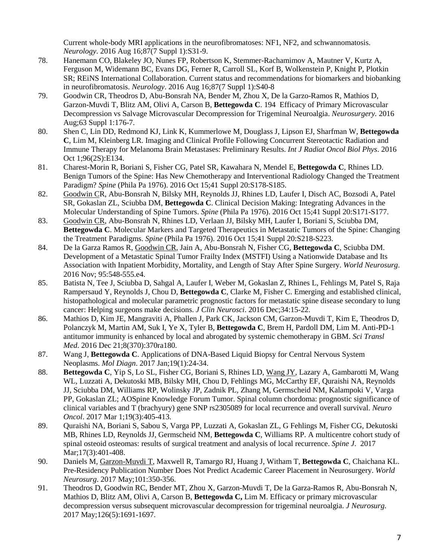Current whole-body MRI applications in the neurofibromatoses: NF1, NF2, and schwannomatosis. *Neurology*. 2016 Aug 16;87(7 Suppl 1):S31-9.

- 78. Hanemann CO, Blakeley JO, Nunes FP, Robertson K, Stemmer-Rachamimov A, Mautner V, Kurtz A, Ferguson M, Widemann BC, Evans DG, Ferner R, Carroll SL, Korf B, Wolkenstein P, Knight P, Plotkin SR; REiNS International Collaboration. Current status and recommendations for biomarkers and biobanking in neurofibromatosis. *Neurology*. 2016 Aug 16;87(7 Suppl 1):S40-8
- 79. Goodwin CR, Theodros D, Abu-Bonsrah NA, Bender M, Zhou X, De la Garzo-Ramos R, Mathios D, Garzon-Muvdi T, Blitz AM, Olivi A, Carson B, **Bettegowda C**. 194 Efficacy of Primary Microvascular Decompression vs Salvage Microvascular Decompression for Trigeminal Neuroalgia. *Neurosurgery.* 2016 Aug;63 Suppl 1:176-7.
- 80. Shen C, Lin DD, Redmond KJ, Link K, Kummerlowe M, Douglass J, Lipson EJ, Sharfman W, **Bettegowda C**, Lim M, Kleinberg LR. [Imaging and Clinical Profile Following Concurrent Stereotactic Radiation and](https://www.ncbi.nlm.nih.gov/pubmed/27673866)  [Immune Therapy for Melanoma Brain Metastases: Preliminary Results.](https://www.ncbi.nlm.nih.gov/pubmed/27673866) *Int J Radiat Oncol Biol Phys*. 2016 Oct 1;96(2S):E134.
- 81. Charest-Morin R, Boriani S, Fisher CG, Patel SR, Kawahara N, Mendel E, **Bettegowda C**, Rhines LD. [Benign Tumors of the Spine: Has New Chemotherapy and Interventional Radiology Changed the Treatment](https://www.ncbi.nlm.nih.gov/pubmed/27488295)  [Paradigm?](https://www.ncbi.nlm.nih.gov/pubmed/27488295) *Spine* (Phila Pa 1976). 2016 Oct 15;41 Suppl 20:S178-S185.
- 82. Goodwin CR, Abu-Bonsrah N, Bilsky MH, Reynolds JJ, Rhines LD, Laufer I, Disch AC, Bozsodi A, Patel SR, Gokaslan ZL, Sciubba DM, **Bettegowda C**. [Clinical Decision Making: Integrating Advances in the](https://www.ncbi.nlm.nih.gov/pubmed/27488298)  [Molecular Understanding of Spine Tumors.](https://www.ncbi.nlm.nih.gov/pubmed/27488298) *Spine* (Phila Pa 1976). 2016 Oct 15;41 Suppl 20:S171-S177.
- 83. Goodwin CR, Abu-Bonsrah N, Rhines LD, Verlaan JJ, Bilsky MH, Laufer I, Boriani S, Sciubba DM, **Bettegowda C**. [Molecular Markers and Targeted Therapeutics in Metastatic Tumors of the Spine: Changing](https://www.ncbi.nlm.nih.gov/pubmed/27488299)  [the Treatment Paradigms.](https://www.ncbi.nlm.nih.gov/pubmed/27488299) *Spine* (Phila Pa 1976). 2016 Oct 15;41 Suppl 20:S218-S223.
- 84. De la Garza Ramos R, Goodwin CR, Jain A, Abu-Bonsrah N, Fisher CG, **Bettegowda C**, Sciubba DM. Development of a Metastatic Spinal Tumor Frailty Index (MSTFI) Using a Nationwide Database and Its Association with Inpatient Morbidity, Mortality, and Length of Stay After Spine Surgery. *World Neurosurg*. 2016 Nov; 95:548-555.e4.
- 85. Batista N, Tee J, Sciubba D, Sahgal A, Laufer I, Weber M, Gokaslan Z, Rhines L, Fehlings M, Patel S, Raja Rampersaud Y, Reynolds J, Chou D, **Bettegowda C**, Clarke M, Fisher C. [Emerging and established clinical,](https://www.ncbi.nlm.nih.gov/pubmed/27634496)  [histopathological and molecular parametric prognostic factors for metastatic spine disease secondary to lung](https://www.ncbi.nlm.nih.gov/pubmed/27634496)  [cancer: Helping surgeons make decisions.](https://www.ncbi.nlm.nih.gov/pubmed/27634496) *J Clin Neurosci*. 2016 Dec;34:15-22.
- 86. Mathios D, Kim JE, Mangraviti A, Phallen J, Park CK, Jackson CM, Garzon-Muvdi T, Kim E, Theodros D, Polanczyk M, Martin AM, Suk I, Ye X, Tyler B, **Bettegowda C**, Brem H, Pardoll DM, Lim M. [Anti-PD-1](https://www.ncbi.nlm.nih.gov/pubmed/28003545)  [antitumor immunity is enhanced by local and abrogated by systemic](https://www.ncbi.nlm.nih.gov/pubmed/28003545) chemotherapy in GBM. *Sci Transl Med*. 2016 Dec 21;8(370):370ra180.
- 87. Wang J, **Bettegowda C**. [Applications of DNA-Based Liquid Biopsy for Central Nervous System](https://www.ncbi.nlm.nih.gov/pubmed/27863260)  [Neoplasms.](https://www.ncbi.nlm.nih.gov/pubmed/27863260) *Mol Diagn*. 2017 Jan;19(1):24-34.
- 88. **Bettegowda C**, Yip S, Lo SL, Fisher CG, Boriani S, Rhines LD, Wang JY, Lazary A, Gambarotti M, Wang WL, Luzzati A, Dekutoski MB, Bilsky MH, Chou D, Fehlings MG, McCarthy EF, Quraishi NA, Reynolds JJ, Sciubba DM, Williams RP, Wolinsky JP, Zadnik PL, Zhang M, Germscheid NM, Kalampoki V, Varga PP, Gokaslan ZL; AOSpine Knowledge Forum Tumor. [Spinal column chordoma: prognostic significance of](https://www.ncbi.nlm.nih.gov/pubmed/27663388)  [clinical variables and T \(brachyury\) gene SNP rs2305089 for local recurrence and overall survival.](https://www.ncbi.nlm.nih.gov/pubmed/27663388) *Neuro Oncol*. 2017 Mar 1;19(3):405-413.
- 89. Quraishi NA, Boriani S, Sabou S, Varga PP, Luzzati A, Gokaslan ZL, G Fehlings M, Fisher CG, Dekutoski MB, Rhines LD, Reynolds JJ, Germscheid NM, **Bettegowda C**, Williams RP. [A multicentre cohort study of](https://www.ncbi.nlm.nih.gov/pubmed/27765711)  [spinal osteoid osteomas: results of surgical treatment and analysis of local recurrence.](https://www.ncbi.nlm.nih.gov/pubmed/27765711) *Spine J*. 2017 Mar;17(3):401-408.
- 90. Daniels M, Garzon-Muvdi T, Maxwell R, Tamargo RJ, Huang J, Witham T, **Bettegowda C**, Chaichana KL. Pre-Residency Publication Number Does Not Predict Academic Career Placement in Neurosurgery. *World Neurosurg*. 2017 May;101:350-356.
- 91. Theodros D, Goodwin RC, Bender MT, Zhou X, Garzon-Muvdi T, De la Garza-Ramos R, Abu-Bonsrah N, Mathios D, Blitz AM, Olivi A, Carson B, **Bettegowda C,** Lim M. Efficacy or primary microvascular decompression versus subsequent microvascular decompression for trigeminal neuroalgia. *J Neurosurg.*  2017 May;126(5):1691-1697.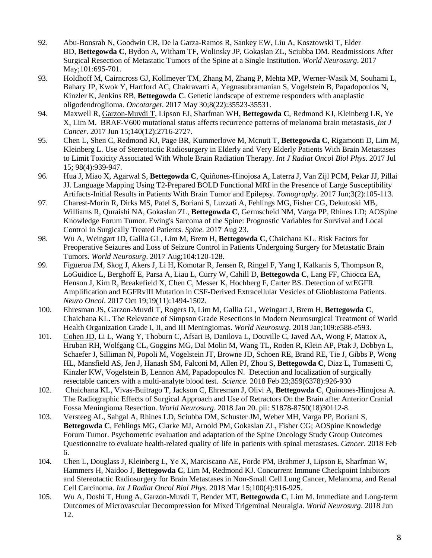- 92. Abu-Bonsrah N, Goodwin CR, De la Garza-Ramos R, Sankey EW, Liu A, Kosztowski T, Elder BD, **Bettegowda C**, Bydon A, Witham TF, Wolinsky JP, Gokaslan ZL, Sciubba DM. [Readmissions After](https://www.ncbi.nlm.nih.gov/pubmed/28254537)  [Surgical Resection of Metastatic Tumors of the Spine at a Single Institution.](https://www.ncbi.nlm.nih.gov/pubmed/28254537) *World Neurosurg*. 2017 May:101:695-701.
- 93. Holdhoff M, Cairncross GJ, Kollmeyer TM, Zhang M, Zhang P, Mehta MP, Werner-Wasik M, Souhami L, Bahary JP, Kwok Y, Hartford AC, Chakravarti A, Yegnasubramanian S, Vogelstein B, Papadopoulos N, Kinzler K, Jenkins RB, **Bettegowda C**. [Genetic landscape of extreme responders with anaplastic](https://www.ncbi.nlm.nih.gov/pubmed/28388591)  [oligodendroglioma.](https://www.ncbi.nlm.nih.gov/pubmed/28388591) *Oncotarget*. 2017 May 30;8(22):35523-35531.
- 94. Maxwell R, Garzon-Muvdi T, Lipson EJ, Sharfman WH, **Bettegowda C**, Redmond KJ, Kleinberg LR, Ye X, Lim M. BRAF-V600 mutational status affects recurrence patterns of melanoma brain metastasis. *Int J Cancer*. 2017 Jun 15;140(12):2716-2727.
- 95. Chen L, Shen C, Redmond KJ, Page BR, Kummerlowe M, Mcnutt T, **Bettegowda C**, Rigamonti D, Lim M, Kleinberg L. Use of Stereotactic Radiosurgery in Elderly and Very Elderly Patients With Brain Metastases to Limit Toxicity Associated With Whole Brain Radiation Therapy. *Int J Radiat Oncol Biol Phys*. 2017 Jul 15; 98(4):939-947.
- 96. Hua J, Miao X, Agarwal S, **Bettegowda C**, Quiñones-Hinojosa A, Laterra J, Van Zijl PCM, Pekar JJ, Pillai JJ. [Language Mapping Using T2-Prepared BOLD Functional MRI in the Presence of Large Susceptibility](https://www.ncbi.nlm.nih.gov/pubmed/28804779) [Artifacts-Initial Results in Patients With Brain Tumor and Epilepsy.](https://www.ncbi.nlm.nih.gov/pubmed/28804779) *Tomography*. 2017 Jun;3(2):105-113.
- 97. Charest-Morin R, Dirks MS, Patel S, Boriani S, Luzzati A, Fehlings MG, Fisher CG, Dekutoski MB, Williams R, Quraishi NA, Gokaslan ZL, **Bettegowda C**, Germscheid NM, Varga PP, Rhines LD; AOSpine Knowledge Forum Tumor. Ewing's Sarcoma of the Spine: Prognostic Variables for Survival and Local Control in Surgically Treated Patients. *Spine.* 2017 Aug 23.
- 98. Wu A, Weingart JD, Gallia GL, Lim M, Brem H, **Bettegowda C**, Chaichana KL. Risk Factors for Preoperative Seizures and Loss of Seizure Control in Patients Undergoing Surgery for Metastatic Brain Tumors. *World Neurosurg*. 2017 Aug;104:120-128.
- 99. Figueroa JM, Skog J, Akers J, Li H, Komotar R, Jensen R, Ringel F, Yang I, Kalkanis S, Thompson R, LoGuidice L, Berghoff E, Parsa A, Liau L, Curry W, Cahill D, **Bettegowda C**, Lang FF, Chiocca EA, Henson J, Kim R, Breakefield X, Chen C, Messer K, Hochberg F, Carter BS. Detection of wtEGFR Amplification and EGFRvIII Mutation in CSF-Derived Extracellular Vesicles of Glioblastoma Patients. *Neuro Oncol*. 2017 Oct 19;19(11):1494-1502.
- 100. Ehresman JS, Garzon-Muvdi T, Rogers D, Lim M, Gallia GL, Weingart J, Brem H, **Bettegowda C**, Chaichana KL. The Relevance of Simpson Grade Resections in Modern Neurosurgical Treatment of World Health Organization Grade I, II, and III Meningiomas. *World Neurosurg*. 2018 Jan;109:e588-e593.
- 101. Cohen JD, Li L, Wang Y, Thoburn C, Afsari B, Danilova L, Douville C, Javed AA, Wong F, Mattox A, Hruban RH, Wolfgang CL, Goggins MG, Dal Molin M, Wang TL, Roden R, Klein AP, Ptak J, Dobbyn L, Schaefer J, Silliman N, Popoli M, Vogelstein JT, Browne JD, Schoen RE, Brand RE, Tie J, Gibbs P, Wong HL, Mansfield AS, Jen J, Hanash SM, Falconi M, Allen PJ, Zhou S, **Bettegowda C**, Diaz L, Tomasetti C, Kinzler KW, Vogelstein B, Lennon AM, Papadopoulos N. Detection and localization of surgically resectable cancers with a multi-analyte blood test. *Science.* 2018 Feb 23;359(6378):926-930
- 102. Chaichana KL, Vivas-Buitrago T, Jackson C, Ehresman J, Olivi A, **Bettegowda C**, Quinones-Hinojosa A. The Radiographic Effects of Surgical Approach and Use of Retractors On the Brain after Anterior Cranial Fossa Meningioma Resection. *World Neurosurg*. 2018 Jan 20. pii: S1878-8750(18)30112-8.
- 103. Versteeg AL, Sahgal A, Rhines LD, Sciubba DM, Schuster JM, Weber MH, Varga PP, Boriani S, **Bettegowda C**, Fehlings MG, Clarke MJ, Arnold PM, Gokaslan ZL, Fisher CG; AOSpine Knowledge Forum Tumor. Psychometric evaluation and adaptation of the Spine Oncology Study Group Outcomes Questionnaire to evaluate health-related quality of life in patients with spinal metastases. *Cancer*. 2018 Feb 6.
- 104. Chen L, Douglass J, Kleinberg L, Ye X, Marciscano AE, Forde PM, Brahmer J, Lipson E, Sharfman W, Hammers H, Naidoo J, **Bettegowda C**, Lim M, Redmond KJ. Concurrent Immune Checkpoint Inhibitors and Stereotactic Radiosurgery for Brain Metastases in Non-Small Cell Lung Cancer, Melanoma, and Renal Cell Carcinoma. *Int J Radiat Oncol Biol Phys*. 2018 Mar 15;100(4):916-925.
- 105. Wu A, Doshi T, Hung A, Garzon-Muvdi T, Bender MT, **Bettegowda C**, Lim M. [Immediate and Long-term](https://www.ncbi.nlm.nih.gov/pubmed/29906578)  [Outcomes of Microvascular Decompression for Mixed Trigeminal Neuralgia.](https://www.ncbi.nlm.nih.gov/pubmed/29906578) *World Neurosurg*. 2018 Jun 12.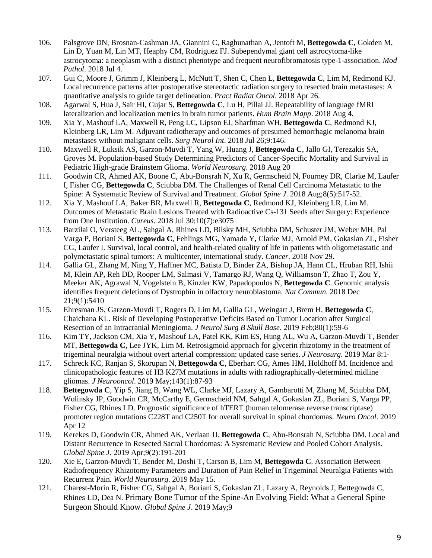- 106. Palsgrove DN, Brosnan-Cashman JA, Giannini C, Raghunathan A, Jentoft M, **Bettegowda C**, Gokden M, Lin D, Yuan M, Lin MT, Heaphy CM, Rodriguez FJ. [Subependymal giant cell astrocytoma-like](https://www.ncbi.nlm.nih.gov/pubmed/29973652)  [astrocytoma: a neoplasm with a distinct phenotype and frequent neurofibromatosis type-1-association.](https://www.ncbi.nlm.nih.gov/pubmed/29973652) *Mod Pathol*. 2018 Jul 4.
- 107. Gui C, Moore J, Grimm J, Kleinberg L, McNutt T, Shen C, Chen L, **Bettegowda C**, Lim M, Redmond KJ. Local recurrence patterns after postoperative stereotactic radiation surgery to resected brain metastases: A quantitative analysis to guide target delineation. *Pract Radiat Oncol*. 2018 Apr 26.
- 108. Agarwal S, Hua J, Sair HI, Gujar S, **Bettegowda C**, Lu H, Pillai JJ. Repeatability of language fMRI lateralization and localization metrics in brain tumor patients. *Hum Brain Mapp*. 2018 Aug 4.
- 109. Xia Y, Mashouf LA, Maxwell R, Peng LC, Lipson EJ, Sharfman WH, **Bettegowda C**, Redmond KJ, Kleinberg LR, Lim M. Adjuvant radiotherapy and outcomes of presumed hemorrhagic melanoma brain metastases without malignant cells. *Surg Neurol Int*. 2018 Jul 26;9:146.
- 110. Maxwell R, Luksik AS, Garzon-Muvdi T, Yang W, Huang J, **Bettegowda C**, Jallo GI, Terezakis SA, Groves M. Population-based Study Determining Predictors of Cancer-Specific Mortality and Survival in Pediatric High-grade Brainstem Glioma. *World Neurosurg*. 2018 Aug 20
- 111. Goodwin CR, Ahmed AK, Boone C, Abu-Bonsrah N, Xu R, Germscheid N, Fourney DR, Clarke M, Laufer I, Fisher CG, **Bettegowda C**, Sciubba DM. The Challenges of Renal Cell Carcinoma Metastatic to the Spine: A Systematic Review of Survival and Treatment. *Global Spine J*. 2018 Aug;8(5):517-52.
- 112. Xia Y, Mashouf LA, Baker BR, Maxwell R, **Bettegowda C**, Redmond KJ, Kleinberg LR, Lim M. Outcomes of Metastatic Brain Lesions Treated with Radioactive Cs-131 Seeds after Surgery: Experience from One Institution. *Cureus*. 2018 Jul 30;10(7):e3075
- 113. Barzilai O, Versteeg AL, Sahgal A, Rhines LD, Bilsky MH, Sciubba DM, Schuster JM, Weber MH, Pal Varga P, Boriani S, **Bettegowda C**, Fehlings MG, Yamada Y, Clarke MJ, Arnold PM, Gokaslan ZL, Fisher CG, Laufer I. Survival, local control, and health-related quality of life in patients with oligometastatic and polymetastatic spinal tumors: A multicenter, international study. *Cancer*. 2018 Nov 29.
- 114. Gallia GL, Zhang M, Ning Y, Haffner MC, Batista D, Binder ZA, Bishop JA, Hann CL, Hruban RH, Ishii M, Klein AP, Reh DD, Rooper LM, Salmasi V, Tamargo RJ, Wang Q, Williamson T, Zhao T, Zou Y, Meeker AK, Agrawal N, Vogelstein B, Kinzler KW, Papadopoulos N, **Bettegowda C**. Genomic analysis identifies frequent deletions of Dystrophin in olfactory neuroblastoma. *Nat Commun*. 2018 Dec 21;9(1):5410
- 115. Ehresman JS, Garzon-Muvdi T, Rogers D, Lim M, Gallia GL, Weingart J, Brem H, **Bettegowda C**, Chaichana KL. Risk of Developing Postoperative Deficits Based on Tumor Location after Surgical Resection of an Intracranial Meningioma. *J Neurol Surg B Skull Base*. 2019 Feb;80(1):59-6
- 116. Kim TY, Jackson CM, Xia Y, Mashouf LA, Patel KK, Kim ES, Hung AL, Wu A, Garzon-Muvdi T, Bender MT, **Bettegowda C**, Lee JYK, Lim M. Retrosigmoid approach for glycerin rhizotomy in the treatment of trigeminal neuralgia without overt arterial compression: updated case series. *J Neurosurg*. 2019 Mar 8:1-
- 117. Schreck KC, Ranjan S, Skorupan N, **Bettegowda C**, Eberhart CG, Ames HM, Holdhoff M. Incidence and clinicopathologic features of H3 K27M mutations in adults with radiographically-determined midline gliomas. *J Neurooncol*. 2019 May;143(1):87-93
- 118. **Bettegowda C**, Yip S, Jiang B, Wang WL, Clarke MJ, Lazary A, Gambarotti M, Zhang M, Sciubba DM, Wolinsky JP, Goodwin CR, McCarthy E, Germscheid NM, Sahgal A, Gokaslan ZL, Boriani S, Varga PP, Fisher CG, Rhines LD. Prognostic significance of hTERT (human telomerase reverse transcriptase) promoter region mutations C228T and C250T for overall survival in spinal chordomas. *Neuro Oncol*. 2019 Apr 12
- 119. Kerekes D, Goodwin CR, Ahmed AK, Verlaan JJ, **Bettegowda C**, Abu-Bonsrah N, Sciubba DM. Local and Distant Recurrence in Resected Sacral Chordomas: A Systematic Review and Pooled Cohort Analysis. *Global Spine J*. 2019 Apr;9(2):191-201
- 120. Xie E, Garzon-Muvdi T, Bender M, Doshi T, Carson B, Lim M, **Bettegowda C**. Association Between Radiofrequency Rhizotomy Parameters and Duration of Pain Relief in Trigeminal Neuralgia Patients with Recurrent Pain. *World Neurosurg*. 2019 May 15.
- 121. Charest-Morin R, Fisher CG, Sahgal A, Boriani S, Gokaslan ZL, Lazary A, Reynolds J, Bettegowda C, Rhines LD, Dea N. Primary Bone Tumor of the Spine-An Evolving Field: What a General Spine Surgeon Should Know. *Global Spine J*. 2019 May;9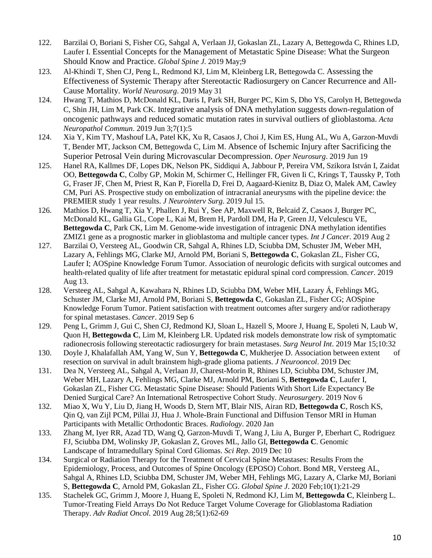- 122. Barzilai O, Boriani S, Fisher CG, Sahgal A, Verlaan JJ, Gokaslan ZL, Lazary A, Bettegowda C, Rhines LD, Laufer I. Essential Concepts for the Management of Metastatic Spine Disease: What the Surgeon Should Know and Practice. *Global Spine J*. 2019 May;9
- 123. Al-Khindi T, Shen CJ, Peng L, Redmond KJ, Lim M, Kleinberg LR, Bettegowda C. Assessing the Effectiveness of Systemic Therapy after Stereotactic Radiosurgery on Cancer Recurrence and All-Cause Mortality. *World Neurosurg*. 2019 May 31
- 124. Hwang T, Mathios D, McDonald KL, Daris I, Park SH, Burger PC, Kim S, Dho YS, Carolyn H, Bettegowda C, Shin JH, Lim M, Park CK. Integrative analysis of DNA methylation suggests down-regulation of oncogenic pathways and reduced somatic mutation rates in survival outliers of glioblastoma. *Acta Neuropathol Commun*. 2019 Jun 3;7(1):5
- 124. Xia Y, Kim TY, Mashouf LA, Patel KK, Xu R, Casaos J, Choi J, Kim ES, Hung AL, Wu A, Garzon-Muvdi T, Bender MT, Jackson CM, Bettegowda C, Lim M. Absence of Ischemic Injury after Sacrificing the Superior Petrosal Vein during Microvascular Decompression. *Oper Neurosurg*. 2019 Jun 19
- 125. Hanel RA, Kallmes DF, Lopes DK, Nelson PK, Siddiqui A, Jabbour P, Pereira VM, Szikora István I, Zaidat OO, **Bettegowda C**, Colby GP, Mokin M, Schirmer C, Hellinger FR, Given Ii C, Krings T, Taussky P, Toth G, Fraser JF, Chen M, Priest R, Kan P, Fiorella D, Frei D, Aagaard-Kienitz B, Diaz O, Malek AM, Cawley CM, Puri AS. Prospective study on embolization of intracranial aneurysms with the pipeline device: the PREMIER study 1 year results. *J Neurointerv Surg*. 2019 Jul 15.
- 126. Mathios D, Hwang T, Xia Y, Phallen J, Rui Y, See AP, Maxwell R, Belcaid Z, Casaos J, Burger PC, McDonald KL, Gallia GL, Cope L, Kai M, Brem H, Pardoll DM, Ha P, Green JJ, Velculescu VE, **Bettegowda C**, Park CK, Lim M. Genome-wide investigation of intragenic DNA methylation identifies ZMIZ1 gene as a prognostic marker in glioblastoma and multiple cancer types. *Int J Cancer*. 2019 Aug 2
- 127. Barzilai O, Versteeg AL, Goodwin CR, Sahgal A, Rhines LD, Sciubba DM, Schuster JM, Weber MH, Lazary A, Fehlings MG, Clarke MJ, Arnold PM, Boriani S, **Bettegowda C**, Gokaslan ZL, Fisher CG, Laufer I; AOSpine Knowledge Forum Tumor. Association of neurologic deficits with surgical outcomes and health-related quality of life after treatment for metastatic epidural spinal cord compression. *Cancer*. 2019 Aug 13.
- 128. Versteeg AL, Sahgal A, Kawahara N, Rhines LD, Sciubba DM, Weber MH, Lazary Á, Fehlings MG, Schuster JM, Clarke MJ, Arnold PM, Boriani S, **Bettegowda C**, Gokaslan ZL, Fisher CG; AOSpine Knowledge Forum Tumor. Patient satisfaction with treatment outcomes after surgery and/or radiotherapy for spinal metastases. *Cancer*. 2019 Sep 6
- 129. Peng L, Grimm J, Gui C, Shen CJ, Redmond KJ, Sloan L, Hazell S, Moore J, Huang E, Spoleti N, Laub W, Quon H, **Bettegowda C**, Lim M, Kleinberg LR. Updated risk models demonstrate low risk of symptomatic radionecrosis following stereotactic radiosurgery for brain metastases. *Surg Neurol Int*. 2019 Mar 15;10:32
- 130. Doyle J, Khalafallah AM, Yang W, Sun Y, **Bettegowda C**, Mukherjee D. Association between extent of resection on survival in adult brainstem high-grade glioma patients. *J Neurooncol*. 2019 Dec
- 131. Dea N, Versteeg AL, Sahgal A, Verlaan JJ, Charest-Morin R, Rhines LD, Sciubba DM, Schuster JM, Weber MH, Lazary A, Fehlings MG, Clarke MJ, Arnold PM, Boriani S, **Bettegowda C**, Laufer I, Gokaslan ZL, Fisher CG. Metastatic Spine Disease: Should Patients With Short Life Expectancy Be Denied Surgical Care? An International Retrospective Cohort Study. *Neurosurgery*. 2019 Nov 6
- 132. Miao X, Wu Y, Liu D, Jiang H, Woods D, Stern MT, Blair NIS, Airan RD, **Bettegowda C**, Rosch KS, Qin Q, van Zijl PCM, Pillai JJ, Hua J. Whole-Brain Functional and Diffusion Tensor MRI in Human Participants with Metallic Orthodontic Braces. *Radiology*. 2020 Jan
- 133. Zhang M, Iyer RR, Azad TD, Wang Q, Garzon-Muvdi T, Wang J, Liu A, Burger P, Eberhart C, Rodriguez FJ, Sciubba DM, Wolinsky JP, Gokaslan Z, Groves ML, Jallo GI, **Bettegowda C**. Genomic Landscape of Intramedullary Spinal Cord Gliomas. *Sci Rep*. 2019 Dec 10
- 134. Surgical or Radiation Therapy for the Treatment of Cervical Spine Metastases: Results From the Epidemiology, Process, and Outcomes of Spine Oncology (EPOSO) Cohort. Bond MR, Versteeg AL, Sahgal A, Rhines LD, Sciubba DM, Schuster JM, Weber MH, Fehlings MG, Lazary A, Clarke MJ, Boriani S, **Bettegowda C**, Arnold PM, Gokaslan ZL, Fisher CG. *Global Spine J*. 2020 Feb;10(1):21-29
- 135. Stachelek GC, Grimm J, Moore J, Huang E, Spoleti N, Redmond KJ, Lim M, **Bettegowda C**, Kleinberg L. Tumor-Treating Field Arrays Do Not Reduce Target Volume Coverage for Glioblastoma Radiation Therapy. *Adv Radiat Oncol*. 2019 Aug 28;5(1):62-69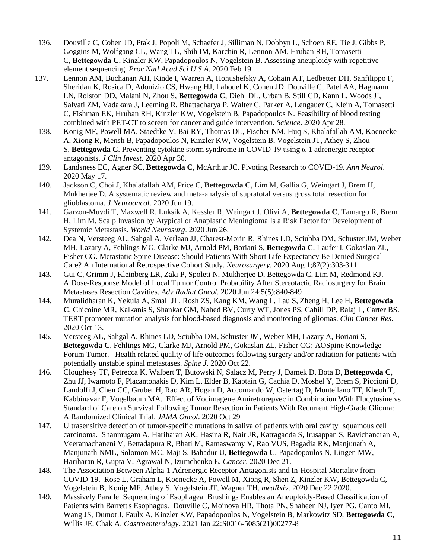- 136. Douville C, Cohen JD, Ptak J, Popoli M, Schaefer J, Silliman N, Dobbyn L, Schoen RE, Tie J, Gibbs P, Goggins M, Wolfgang CL, Wang TL, Shih IM, Karchin R, Lennon AM, Hruban RH, Tomasetti C, **Bettegowda C**, Kinzler KW, Papadopoulos N, Vogelstein B. Assessing aneuploidy with repetitive element sequencing. *Proc Natl Acad Sci U S A*. 2020 Feb 19
- 137. Lennon AM, Buchanan AH, Kinde I, Warren A, Honushefsky A, Cohain AT, Ledbetter DH, Sanfilippo F, Sheridan K, Rosica D, Adonizio CS, Hwang HJ, Lahouel K, Cohen JD, Douville C, Patel AA, Hagmann LN, Rolston DD, Malani N, Zhou S, **Bettegowda C**, Diehl DL, Urban B, Still CD, Kann L, Woods JI, Salvati ZM, Vadakara J, Leeming R, Bhattacharya P, Walter C, Parker A, Lengauer C, Klein A, Tomasetti C, Fishman EK, Hruban RH, Kinzler KW, Vogelstein B, Papadopoulos N. Feasibility of blood testing combined with PET-CT to screen for cancer and guide intervention. *Science*. 2020 Apr 28.
- 138. Konig MF, Powell MA, Staedtke V, Bai RY, Thomas DL, Fischer NM, Huq S, Khalafallah AM, Koenecke A, Xiong R, Mensh B, Papadopoulos N, Kinzler KW, Vogelstein B, Vogelstein JT, Athey S, Zhou S, **Bettegowda C**. Preventing cytokine storm syndrome in COVID-19 using α-1 adrenergic receptor antagonists. *J Clin Invest*. 2020 Apr 30.
- 139. Landsness EC, Agner SC, **Bettegowda C**, McArthur JC. Pivoting Research to COVID-19. *Ann Neurol*. 2020 May 17.
- 140. Jackson C, Choi J, Khalafallah AM, Price C, **Bettegowda C**, Lim M, Gallia G, Weingart J, Brem H, Mukherjee D. A systematic review and meta-analysis of supratotal versus gross total resection for glioblastoma. *J Neurooncol*. 2020 Jun 19.
- 141. Garzon-Muvdi T, Maxwell R, Luksik A, Kessler R, Weingart J, Olivi A, **Bettegowda C**, Tamargo R, Brem H, Lim M. Scalp Invasion by Atypical or Anaplastic Meningioma Is a Risk Factor for Development of Systemic Metastasis. *World Neurosurg*. 2020 Jun 26.
- 142. Dea N, Versteeg AL, Sahgal A, Verlaan JJ, Charest-Morin R, Rhines LD, Sciubba DM, Schuster JM, Weber MH, Lazary A, Fehlings MG, Clarke MJ, Arnold PM, Boriani S, **Bettegowda C**, Laufer I, Gokaslan ZL, Fisher CG. Metastatic Spine Disease: Should Patients With Short Life Expectancy Be Denied Surgical Care? An International Retrospective Cohort Study. *Neurosurgery*. 2020 Aug 1;87(2):303-311
- 143. Gui C, Grimm J, Kleinberg LR, Zaki P, Spoleti N, Mukherjee D, Bettegowda C, Lim M, Redmond KJ. A Dose-Response Model of Local Tumor Control Probability After Stereotactic Radiosurgery for Brain Metastases Resection Cavities. *Adv Radiat Oncol*. 2020 Jun 24;5(5):840-849
- 144. Muralidharan K, Yekula A, Small JL, Rosh ZS, Kang KM, Wang L, Lau S, Zheng H, Lee H, **Bettegowda C**, Chicoine MR, Kalkanis S, Shankar GM, Nahed BV, Curry WT, Jones PS, Cahill DP, Balaj L, Carter BS. TERT promoter mutation analysis for blood-based diagnosis and monitoring of gliomas. *Clin Cancer Res*. 2020 Oct 13.
- 145. Versteeg AL, Sahgal A, Rhines LD, Sciubba DM, Schuster JM, Weber MH, Lazary A, Boriani S, **Bettegowda C**, Fehlings MG, Clarke MJ, Arnold PM, Gokaslan ZL, Fisher CG; AOSpine Knowledge Forum Tumor. Health related quality of life outcomes following surgery and/or radiation for patients with potentially unstable spinal metastases. *Spine J*. 2020 Oct 22.
- 146. Cloughesy TF, Petrecca K, Walbert T, Butowski N, Salacz M, Perry J, Damek D, Bota D, **Bettegowda C**, Zhu JJ, Iwamoto F, Placantonakis D, Kim L, Elder B, Kaptain G, Cachia D, Moshel Y, Brem S, Piccioni D, Landolfi J, Chen CC, Gruber H, Rao AR, Hogan D, Accomando W, Ostertag D, Montellano TT, Kheoh T, Kabbinavar F, Vogelbaum MA. Effect of Vocimagene Amiretrorepvec in Combination With Flucytosine vs Standard of Care on Survival Following Tumor Resection in Patients With Recurrent High-Grade Glioma: A Randomized Clinical Trial. *JAMA Oncol*. 2020 Oct 29
- 147. Ultrasensitive detection of tumor-specific mutations in saliva of patients with oral cavity squamous cell carcinoma. Shanmugam A, Hariharan AK, Hasina R, Nair JR, Katragadda S, Irusappan S, Ravichandran A, Veeramachaneni V, Bettadapura R, Bhati M, Ramaswamy V, Rao VUS, Bagadia RK, Manjunath A, Manjunath NML, Solomon MC, Maji S, Bahadur U, **Bettegowda C**, Papadopoulos N, Lingen MW, Hariharan R, Gupta V, Agrawal N, Izumchenko E. *Cancer*. 2020 Dec 21.
- 148. The Association Between Alpha-1 Adrenergic Receptor Antagonists and In-Hospital Mortality from COVID-19. Rose L, Graham L, Koenecke A, Powell M, Xiong R, Shen Z, Kinzler KW, Bettegowda C, Vogelstein B, Konig MF, Athey S, Vogelstein JT, Wagner TH. *medRxiv*. 2020 Dec 22:2020.
- 149. Massively Parallel Sequencing of Esophageal Brushings Enables an Aneuploidy-Based Classification of Patients with Barrett's Esophagus. Douville C, Moinova HR, Thota PN, Shaheen NJ, Iyer PG, Canto MI, Wang JS, Dumot J, Faulx A, Kinzler KW, Papadopoulos N, Vogelstein B, Markowitz SD, **Bettegowda C**, Willis JE, Chak A. *Gastroenterology*. 2021 Jan 22:S0016-5085(21)00277-8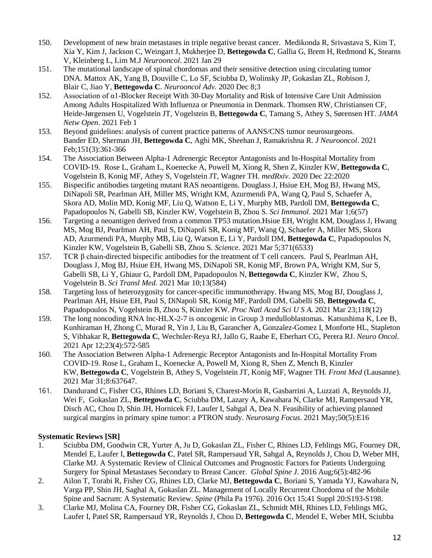- 150. Development of new brain metastases in triple negative breast cancer. Medikonda R, Srivastava S, Kim T, Xia Y, Kim J, Jackson C, Weingart J, Mukherjee D, **Bettegowda C**, Gallia G, Brem H, Redmond K, Stearns V, Kleinberg L, Lim M.J *Neurooncol*. 2021 Jan 29
- 151. The mutational landscape of spinal chordomas and their sensitive detection using circulating tumor DNA. Mattox AK, Yang B, Douville C, Lo SF, Sciubba D, Wolinsky JP, Gokaslan ZL, Robison J, Blair C, Jiao Y, **Bettegowda C**. *Neurooncol Adv.* 2020 Dec 8;3
- 152. Association of α1-Blocker Receipt With 30-Day Mortality and Risk of Intensive Care Unit Admission Among Adults Hospitalized With Influenza or Pneumonia in Denmark. Thomsen RW, Christiansen CF, Heide-Jørgensen U, Vogelstein JT, Vogelstein B, **Bettegowda C**, Tamang S, Athey S, Sørensen HT. *JAMA Netw Open*. 2021 Feb 1
- 153. Beyond guidelines: analysis of current practice patterns of AANS/CNS tumor neurosurgeons. Bander ED, Sherman JH, **Bettegowda C**, Aghi MK, Sheehan J, Ramakrishna R. *J Neurooncol*. 2021 Feb;151(3):361-366
- 154. The Association Between Alpha-1 Adrenergic Receptor Antagonists and In-Hospital Mortality from COVID-19. Rose L, Graham L, Koenecke A, Powell M, Xiong R, Shen Z, Kinzler KW, **Bettegowda C**, Vogelstein B, Konig MF, Athey S, Vogelstein JT, Wagner TH. *medRxiv*. 2020 Dec 22:2020
- 155. Bispecific antibodies targeting mutant RAS neoantigens. Douglass J, Hsiue EH, Mog BJ, Hwang MS, DiNapoli SR, Pearlman AH, Miller MS, Wright KM, Azurmendi PA, Wang Q, Paul S, Schaefer A, Skora AD, Molin MD, Konig MF, Liu Q, Watson E, Li Y, Murphy MB, Pardoll DM, **Bettegowda C**, Papadopoulos N, Gabelli SB, Kinzler KW, Vogelstein B, Zhou S. *Sci Immunol*. 2021 Mar 1;6(57)
- 156. Targeting a neoantigen derived from a common TP53 mutation.Hsiue EH, Wright KM, Douglass J, Hwang MS, Mog BJ, Pearlman AH, Paul S, DiNapoli SR, Konig MF, Wang Q, Schaefer A, Miller MS, Skora AD, Azurmendi PA, Murphy MB, Liu Q, Watson E, Li Y, Pardoll DM, **Bettegowda C**, Papadopoulos N, Kinzler KW, Vogelstein B, Gabelli SB, Zhou S. *Science*. 2021 Mar 5;371(6533)
- 157. TCR β chain-directed bispecific antibodies for the treatment of T cell cancers. Paul S, Pearlman AH, Douglass J, Mog BJ, Hsiue EH, Hwang MS, DiNapoli SR, Konig MF, Brown PA, Wright KM, Sur S, Gabelli SB, Li Y, Ghiaur G, Pardoll DM, Papadopoulos N, **Bettegowda C**, Kinzler KW, Zhou S, Vogelstein B. *Sci Transl Med*. 2021 Mar 10;13(584)
- 158. Targeting loss of heterozygosity for cancer-specific immunotherapy. Hwang MS, Mog BJ, Douglass J, Pearlman AH, Hsiue EH, Paul S, DiNapoli SR, Konig MF, Pardoll DM, Gabelli SB, **Bettegowda C**, Papadopoulos N, Vogelstein B, Zhou S, Kinzler KW. *Proc Natl Acad Sci U S A.* 2021 Mar 23;118(12)
- 159. The long noncoding RNA lnc-HLX-2-7 is oncogenic in Group 3 medulloblastomas. Katsushima K, Lee B, Kunhiraman H, Zhong C, Murad R, Yin J, Liu B, Garancher A, Gonzalez-Gomez I, Monforte HL, Stapleton S, Vibhakar R, **Bettegowda C**, Wechsler-Reya RJ, Jallo G, Raabe E, Eberhart CG, Perera RJ. *Neuro Oncol*. 2021 Apr 12;23(4):572-585
- 160. The Association Between Alpha-1 Adrenergic Receptor Antagonists and In-Hospital Mortality From COVID-19. Rose L, Graham L, Koenecke A, Powell M, Xiong R, Shen Z, Mench B, Kinzler KW, **Bettegowda C**, Vogelstein B, Athey S, Vogelstein JT, Konig MF, Wagner TH. *Front Med* (Lausanne). 2021 Mar 31;8:637647.
- 161. Dandurand C, Fisher CG, Rhines LD, Boriani S, Charest-Morin R, Gasbarrini A, Luzzati A, Reynolds JJ, Wei F, Gokaslan ZL, **Bettegowda C**, Sciubba DM, Lazary A, Kawahara N, Clarke MJ, Rampersaud YR, Disch AC, Chou D, Shin JH, Hornicek FJ, Laufer I, Sahgal A, Dea N. Feasibility of achieving planned surgical margins in primary spine tumor: a PTRON study. *Neurosurg Focus*. 2021 May;50(5):E16

#### **Systematic Reviews [SR]**

- 1. Sciubba DM, Goodwin CR, Yurter A, Ju D, Gokaslan ZL, Fisher C, Rhines LD, Fehlings MG, Fourney DR, Mendel E, Laufer I, **Bettegowda C**, Patel SR, Rampersaud YR, Sahgal A, Reynolds J, Chou D, Weber MH, Clarke MJ. A Systematic Review of Clinical Outcomes and Prognostic Factors for Patients Undergoing Surgery for Spinal Metastases Secondary to Breast Cancer. *Global Spine J*. 2016 Aug;6(5):482-96
- 2. Ailon T, Torabi R, Fisher CG, Rhines LD, Clarke MJ, **Bettegowda C**, Boriani S, Yamada YJ, Kawahara N, Varga PP, Shin JH, Saghal A, Gokaslan ZL. [Management of Locally Recurrent Chordoma of the](https://www.ncbi.nlm.nih.gov/pubmed/27753782) Mobile [Spine and Sacrum: A Systematic Review.](https://www.ncbi.nlm.nih.gov/pubmed/27753782) *Spine* (Phila Pa 1976). 2016 Oct 15;41 Suppl 20:S193-S198.
- 3. Clarke MJ, Molina CA, Fourney DR, Fisher CG, Gokaslan ZL, Schmidt MH, Rhines LD, Fehlings MG, Laufer I, Patel SR, Rampersaud YR, Reynolds J, Chou D, **Bettegowda C**, Mendel E, Weber MH, Sciubba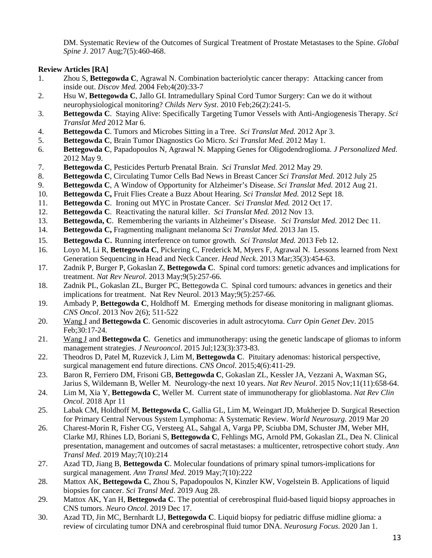DM. Systematic Review of the Outcomes of Surgical Treatment of Prostate Metastases to the Spine. *Global Spine J*. 2017 Aug;7(5):460-468.

### **Review Articles [RA]**

- 1. Zhou S, **Bettegowda C**, Agrawal N. Combination bacteriolytic cancer therapy: Attacking cancer from inside out. *Discov Med.* 2004 Feb;4(20):33-7
- 2. Hsu W, **Bettegowda C**, Jallo GI. Intramedullary Spinal Cord Tumor Surgery: Can we do it without neurophysiological monitoring? *Childs Nerv Syst*. 2010 Feb;26(2):241-5.
- 3. **Bettegowda C**. Staying Alive: Specifically Targeting Tumor Vessels with Anti-Angiogenesis Therapy. *Sci Translat Med* 2012 Mar 6.
- 4. **Bettegowda C**. Tumors and Microbes Sitting in a Tree. *Sci Translat Med.* 2012 Apr 3.
- 5. **Bettegowda C**, Brain Tumor Diagnostics Go Micro. *Sci Translat Med.* 2012 May 1.
- 6. **Bettegowda C**, Papadopoulos N, Agrawal N. Mapping Genes for Oligodendroglioma. *J Personalized Med*. 2012 May 9.
- 7. **Bettegowda C**, Pesticides Perturb Prenatal Brain. *Sci Translat Med.* 2012 May 29.
- 8. **Bettegowda C**, Circulating Tumor Cells Bad News in Breast Cancer *Sci Translat Med.* 2012 July 25
- 9. **Bettegowda C**, A Window of Opportunity for Alzheimer's Disease. *Sci Translat Med.* 2012 Aug 21.
- 10. **Bettegowda C,** Fruit Flies Create a Buzz About Hearing. *Sci Translat Med.* 2012 Sept 18.
- 11. **Bettegowda C**. Ironing out MYC in Prostate Cancer. *Sci Translat Med.* 2012 Oct 17.
- 12. **Bettegowda C**. Reactivating the natural killer. *Sci Translat Med.* 2012 Nov 13.
- 13. **Bettegowda, C**. Remembering the variants in Alzheimer's Disease. *Sci Translat Med.* 2012 Dec 11.
- 14. **Bettegowda C,** Fragmenting malignant melanoma *Sci Translat Med.* 2013 Jan 15.
- 15. **Bettegowda C**. Running interference on tumor growth. *Sci Translat Med.* 2013 Feb 12.
- 16. Loyo M, Li R, **Bettegowda C**, Pickering C, Frederick M, Myers F, Agrawal N. Lessons learned from Next Generation Sequencing in Head and Neck Cancer. *Head Neck*. 2013 Mar;35(3):454-63.
- 17. Zadnik P, Burger P, Gokaslan Z, **Bettegowda C**. Spinal cord tumors: genetic advances and implications for treatment. *Nat Rev Neurol.* 2013 May;9(5):257-66.
- 18. Zadnik PL, Gokaslan ZL, Burger PC, Bettegowda C. Spinal cord tumours: advances in genetics and their implications for treatment. Nat Rev Neurol. 2013 May;9(5):257-66.
- 19. Ambady P, **Bettegowda C**, Holdhoff M. Emerging methods for disease monitoring in malignant gliomas. *CNS Oncol*. 2013 Nov 2(6); 511-522
- 20. Wang J and **Bettegowda C**. Genomic discoveries in adult astrocytoma. *Curr Opin Genet Dev*. 2015 Feb;30:17-24.
- 21. Wang J and **Bettegowda C**. Genetics and immunotherapy: using the genetic landscape of gliomas to inform management strategies. *J Neurooncol*. 2015 Jul;123(3):373-83.
- 22. Theodros D, Patel M, Ruzevick J, Lim M, **Bettegowda C**. Pituitary adenomas: historical perspective, surgical management end future directions. *CNS Oncol*. 2015;4(6):411-29.
- 23. Baron R, Ferriero DM, Frisoni GB, **Bettegowda C**, Gokaslan ZL, Kessler JA, Vezzani A, Waxman SG, Jarius S, Wildemann B, Weller M. Neurology-the next 10 years. *Nat Rev Neurol*. 2015 Nov;11(11):658-64.
- 24. Lim M, Xia Y, **Bettegowda C**, Weller M. Current state of immunotherapy for glioblastoma. *Nat Rev Clin Oncol*. 2018 Apr 11
- 25. Labak CM, Holdhoff M, **Bettegowda C**, Gallia GL, Lim M, Weingart JD, Mukherjee D. Surgical Resection for Primary Central Nervous System Lymphoma: A Systematic Review. *World Neurosurg*. 2019 Mar 20
- 26. Charest-Morin R, Fisher CG, Versteeg AL, Sahgal A, Varga PP, Sciubba DM, Schuster JM, Weber MH, Clarke MJ, Rhines LD, Boriani S, **Bettegowda C**, Fehlings MG, Arnold PM, Gokaslan ZL, Dea N. Clinical presentation, management and outcomes of sacral metastases: a multicenter, retrospective cohort study. *Ann Transl Med*. 2019 May;7(10):214
- 27. Azad TD, Jiang B, **Bettegowda C**. Molecular foundations of primary spinal tumors-implications for surgical management. *Ann Transl Med*. 2019 May;7(10):222
- 28. Mattox AK, **Bettegowda C**, Zhou S, Papadopoulos N, Kinzler KW, Vogelstein B. Applications of liquid biopsies for cancer. *Sci Transl Med*. 2019 Aug 28.
- 29. Mattox AK, Yan H, **Bettegowda C**. The potential of cerebrospinal fluid-based liquid biopsy approaches in CNS tumors. *Neuro Oncol*. 2019 Dec 17.
- 30. Azad TD, Jin MC, Bernhardt LJ, **Bettegowda C**. Liquid biopsy for pediatric diffuse midline glioma: a review of circulating tumor DNA and cerebrospinal fluid tumor DNA. *Neurosurg Focus*. 2020 Jan 1.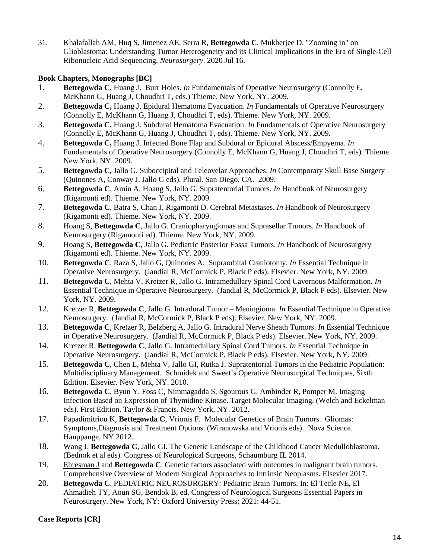31. Khalafallah AM, Huq S, Jimenez AE, Serra R, **Bettegowda C**, Mukherjee D. "Zooming in" on Glioblastoma: Understanding Tumor Heterogeneity and its Clinical Implications in the Era of Single-Cell Ribonucleic Acid Sequencing. *Neurosurgery*. 2020 Jul 16.

### **Book Chapters, Monographs [BC]**

- 1. **Bettegowda C**, Huang J. Burr Holes. *In* Fundamentals of Operative Neurosurgery (Connolly E, McKhann G, Huang J, Choudhri T, eds.) Thieme. New York, NY. 2009.
- 2. **Bettegowda C,** Huang J. Epidural Hematoma Evacuation. *In* Fundamentals of Operative Neurosurgery (Connolly E, McKhann G, Huang J, Choudhri T, eds). Thieme. New York, NY. 2009.
- 3. **Bettegowda C,** Huang J. Subdural Hematoma Evacuation. *In* Fundamentals of Operative Neurosurgery (Connolly E, McKhann G, Huang J, Choudhri T, eds). Thieme. New York, NY. 2009.
- 4. **Bettegowda C,** Huang J. Infected Bone Flap and Subdural or Epidural Abscess/Empyema. *In* Fundamentals of Operative Neurosurgery (Connolly E, McKhann G, Huang J, Choudhri T, eds). Thieme. New York, NY. 2009.
- 5. **Bettegowda C,** Jallo G. Suboccipital and Teleovelar Approaches. *In* Contemporary Skull Base Surgery (Quinones A, Conway J, Jallo G eds). Plural. San Diego, CA. 2009.
- 6. **Bettegowda C**, Amin A, Hoang S, Jallo G. Supratentorial Tumors. *In* Handbook of Neurosurgery (Rigamonti ed). Thieme. New York, NY. 2009.
- 7. **Bettegowda C**, Batra S, Chan J, Rigamonti D. Cerebral Metastases. *In* Handbook of Neurosurgery (Rigamonti ed). Thieme. New York, NY. 2009.
- 8. Hoang S, **Bettegowda C**, Jallo G. Craniopharyngiomas and Suprasellar Tumors. *In* Handbook of Neurosurgery (Rigamonti ed). Thieme. New York, NY. 2009.
- 9. Hoang S, **Bettegowda C**, Jallo G. Pediatric Posterior Fossa Tumors. *In* Handbook of Neurosurgery (Rigamonti ed). Thieme. New York, NY. 2009.
- 10. **Bettegowda C**, Raza S, Jallo G, Quinones A. Supraorbital Craniotomy. *In* Essential Technique in Operative Neurosurgery. (Jandial R, McCormick P, Black P eds). Elsevier. New York, NY. 2009.
- 11. **Bettegowda C**, Mehta V, Kretzer R, Jallo G. Intramedullary Spinal Cord Cavernous Malformation. *In*  Essential Technique in Operative Neurosurgery. (Jandial R, McCormick P, Black P eds). Elsevier. New York, NY. 2009.
- 12. Kretzer R, **Bettegowda C**, Jallo G. Intradural Tumor Meningioma. *In* Essential Technique in Operative Neurosurgery. (Jandial R, McCormick P, Black P eds). Elsevier. New York, NY. 2009.
- 13. **Bettegowda C**, Kretzer R, Belzberg A, Jallo G. Intradural Nerve Sheath Tumors. *In* Essential Technique in Operative Neurosurgery. (Jandial R, McCormick P, Black P eds). Elsevier. New York, NY. 2009.
- 14. Kretzer R, **Bettegowda C**, Jallo G. Intramedullary Spinal Cord Tumors. *In* Essential Technique in Operative Neurosurgery. (Jandial R, McCormick P, Black P eds). Elsevier. New York, NY. 2009.
- 15. **Bettegowda C**, Chen L, Mehta V, Jallo GI, Rutka J. Supratentorial Tumors in the Pediatric Population: Multidisciplinary Management. Schmidek and Sweet's Operative Neurosurgical Techniques, Sixth Edition. Elsevier. New York, NY. 2010.
- 16. **Bettegowda C**, Byun Y, Foss C, Nimmagadda S, Sgourous G, Ambinder R, Pomper M. Imaging Infection Based on Expression of Thymidine Kinase. Target Molecular Imaging. (Welch and Eckelman eds). First Edition. Taylor & Francis. New York, NY. 2012.
- 17. Papadimitriou K, **Bettegowda C**, Vrionis F. Molecular Genetics of Brain Tumors. Gliomas: Symptoms,Diagnosis and Treatment Options. (Wiranowska and Vrionis eds). Nova Science. Hauppauge, NY 2012.
- 18. Wang J, **Bettegowda C**, Jallo GI. The Genetic Landscape of the Childhood Cancer Medulloblastoma. (Bednok et al eds). Congress of Neurological Surgeons, Schaumburg IL 2014.
- 19. Ehresman J and **Bettegowda C**. Genetic factors associated with outcomes in malignant brain tumors. Comprehensive Overview of Modern Surgical Approaches to Intrinsic Neoplasms. Elsevier 2017.
- 20. **Bettegowda C**. PEDIATRIC NEUROSURGERY: Pediatric Brain Tumors. In: El Tecle NE, El Ahmadieh TY, Aoun SG, Bendok B, ed. Congress of Neurological Surgeons Essential Papers in Neurosurgery. New York, NY: Oxford University Press; 2021: 44-51.

#### **Case Reports [CR]**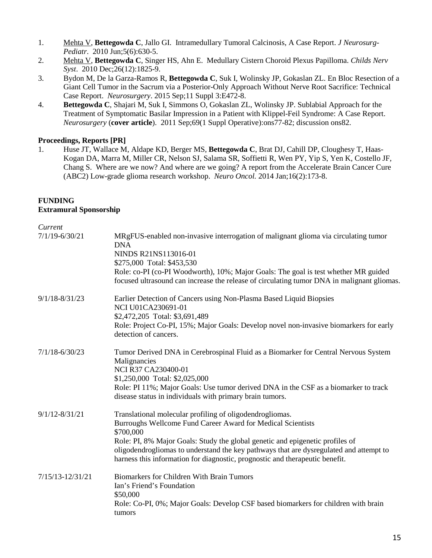- 1. Mehta V, **Bettegowda C**, Jallo GI. Intramedullary Tumoral Calcinosis, A Case Report. *J Neurosurg-Pediatr*. 2010 Jun;5(6):630-5.
- 2. Mehta V, **Bettegowda C**, Singer HS, Ahn E. Medullary Cistern Choroid Plexus Papilloma. *Childs Nerv Syst*. 2010 Dec;26(12):1825-9.
- 3. Bydon M, De la Garza-Ramos R, **Bettegowda C**, Suk I, Wolinsky JP, Gokaslan ZL. En Bloc Resection of a Giant Cell Tumor in the Sacrum via a Posterior-Only Approach Without Nerve Root Sacrifice: Technical Case Report. *Neurosurgery*. 2015 Sep;11 Suppl 3:E472-8.
- 4. **Bettegowda C**, Shajari M, Suk I, Simmons O, Gokaslan ZL, Wolinsky JP. Sublabial Approach for the Treatment of Symptomatic Basilar Impression in a Patient with Klippel-Feil Syndrome: A Case Report. *Neurosurgery* (**cover article**). 2011 Sep;69(1 Suppl Operative):ons77-82; discussion ons82.

#### **Proceedings, Reports [PR]**

1. Huse JT, Wallace M, Aldape KD, Berger MS, **Bettegowda C**, Brat DJ, Cahill DP, Cloughesy T, Haas-Kogan DA, Marra M, Miller CR, Nelson SJ, Salama SR, Soffietti R, Wen PY, Yip S, Yen K, Costello JF, Chang S. Where are we now? And where are we going? A report from the Accelerate Brain Cancer Cure (ABC2) Low-grade glioma research workshop. *Neuro Oncol.* 2014 Jan;16(2):173-8.

## **FUNDING**

#### **Extramural Sponsorship**

| Current              |                                                                                                                                                                                                                                                                                                                                                                                                 |
|----------------------|-------------------------------------------------------------------------------------------------------------------------------------------------------------------------------------------------------------------------------------------------------------------------------------------------------------------------------------------------------------------------------------------------|
| $7/1/19 - 6/30/21$   | MRgFUS-enabled non-invasive interrogation of malignant glioma via circulating tumor<br><b>DNA</b><br>NINDS R21NS113016-01<br>\$275,000 Total: \$453,530<br>Role: co-PI (co-PI Woodworth), 10%; Major Goals: The goal is test whether MR guided<br>focused ultrasound can increase the release of circulating tumor DNA in malignant gliomas.                                                    |
| $9/1/18 - 8/31/23$   | Earlier Detection of Cancers using Non-Plasma Based Liquid Biopsies<br>NCI U01CA230691-01<br>\$2,472,205 Total: \$3,691,489<br>Role: Project Co-PI, 15%; Major Goals: Develop novel non-invasive biomarkers for early<br>detection of cancers.                                                                                                                                                  |
| $7/1/18 - 6/30/23$   | Tumor Derived DNA in Cerebrospinal Fluid as a Biomarker for Central Nervous System<br>Malignancies<br>NCI R37 CA230400-01<br>\$1,250,000 Total: \$2,025,000<br>Role: PI 11%; Major Goals: Use tumor derived DNA in the CSF as a biomarker to track<br>disease status in individuals with primary brain tumors.                                                                                  |
| $9/1/12 - 8/31/21$   | Translational molecular profiling of oligodendrogliomas.<br>Burroughs Wellcome Fund Career Award for Medical Scientists<br>\$700,000<br>Role: PI, 8% Major Goals: Study the global genetic and epigenetic profiles of<br>oligodendrogliomas to understand the key pathways that are dysregulated and attempt to<br>harness this information for diagnostic, prognostic and therapeutic benefit. |
| $7/15/13 - 12/31/21$ | Biomarkers for Children With Brain Tumors<br>Ian's Friend's Foundation<br>\$50,000<br>Role: Co-PI, 0%; Major Goals: Develop CSF based biomarkers for children with brain<br>tumors                                                                                                                                                                                                              |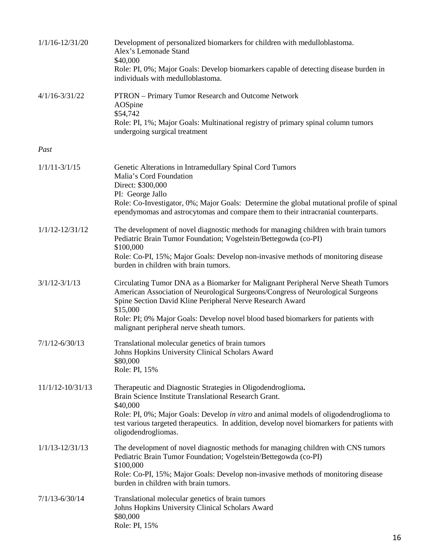| $1/1/16 - 12/31/20$  | Development of personalized biomarkers for children with medulloblastoma.<br>Alex's Lemonade Stand<br>\$40,000<br>Role: PI, 0%; Major Goals: Develop biomarkers capable of detecting disease burden in<br>individuals with medulloblastoma.                                                                                                                                    |
|----------------------|--------------------------------------------------------------------------------------------------------------------------------------------------------------------------------------------------------------------------------------------------------------------------------------------------------------------------------------------------------------------------------|
| $4/1/16 - 3/31/22$   | PTRON - Primary Tumor Research and Outcome Network<br>AOSpine<br>\$54,742<br>Role: PI, 1%; Major Goals: Multinational registry of primary spinal column tumors<br>undergoing surgical treatment                                                                                                                                                                                |
| Past                 |                                                                                                                                                                                                                                                                                                                                                                                |
| $1/1/11 - 3/1/15$    | Genetic Alterations in Intramedullary Spinal Cord Tumors<br>Malia's Cord Foundation<br>Direct: \$300,000<br>PI: George Jallo<br>Role: Co-Investigator, 0%; Major Goals: Determine the global mutational profile of spinal<br>ependymomas and astrocytomas and compare them to their intracranial counterparts.                                                                 |
| $1/1/12 - 12/31/12$  | The development of novel diagnostic methods for managing children with brain tumors<br>Pediatric Brain Tumor Foundation; Vogelstein/Bettegowda (co-PI)<br>\$100,000<br>Role: Co-PI, 15%; Major Goals: Develop non-invasive methods of monitoring disease<br>burden in children with brain tumors.                                                                              |
| $3/1/12 - 3/1/13$    | Circulating Tumor DNA as a Biomarker for Malignant Peripheral Nerve Sheath Tumors<br>American Association of Neurological Surgeons/Congress of Neurological Surgeons<br>Spine Section David Kline Peripheral Nerve Research Award<br>\$15,000<br>Role: PI; 0% Major Goals: Develop novel blood based biomarkers for patients with<br>malignant peripheral nerve sheath tumors. |
| $7/1/12 - 6/30/13$   | Translational molecular genetics of brain tumors<br>Johns Hopkins University Clinical Scholars Award<br>\$80,000<br>Role: PI, 15%                                                                                                                                                                                                                                              |
| $11/1/12 - 10/31/13$ | Therapeutic and Diagnostic Strategies in Oligodendroglioma.<br>Brain Science Institute Translational Research Grant.<br>\$40,000<br>Role: PI, 0%; Major Goals: Develop in vitro and animal models of oligodendroglioma to<br>test various targeted therapeutics. In addition, develop novel biomarkers for patients with<br>oligodendrogliomas.                                |
| $1/1/13 - 12/31/13$  | The development of novel diagnostic methods for managing children with CNS tumors<br>Pediatric Brain Tumor Foundation; Vogelstein/Bettegowda (co-PI)<br>\$100,000<br>Role: Co-PI, 15%; Major Goals: Develop non-invasive methods of monitoring disease<br>burden in children with brain tumors.                                                                                |
| $7/1/13 - 6/30/14$   | Translational molecular genetics of brain tumors<br>Johns Hopkins University Clinical Scholars Award<br>\$80,000<br>Role: PI, 15%                                                                                                                                                                                                                                              |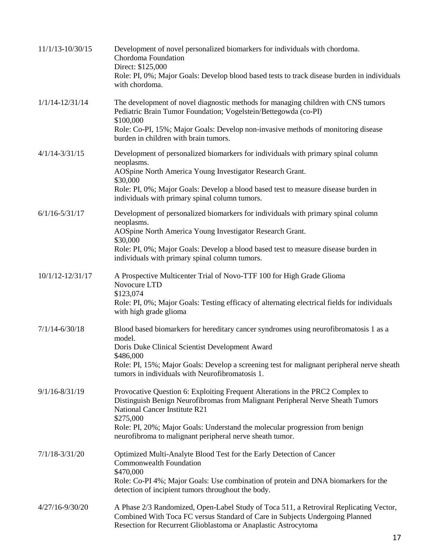| $11/1/13 - 10/30/15$ | Development of novel personalized biomarkers for individuals with chordoma.<br>Chordoma Foundation<br>Direct: \$125,000<br>Role: PI, 0%; Major Goals: Develop blood based tests to track disease burden in individuals<br>with chordoma.                                                                                                                   |
|----------------------|------------------------------------------------------------------------------------------------------------------------------------------------------------------------------------------------------------------------------------------------------------------------------------------------------------------------------------------------------------|
| $1/1/14 - 12/31/14$  | The development of novel diagnostic methods for managing children with CNS tumors<br>Pediatric Brain Tumor Foundation; Vogelstein/Bettegowda (co-PI)<br>\$100,000<br>Role: Co-PI, 15%; Major Goals: Develop non-invasive methods of monitoring disease<br>burden in children with brain tumors.                                                            |
| $4/1/14 - 3/31/15$   | Development of personalized biomarkers for individuals with primary spinal column<br>neoplasms.<br>AOSpine North America Young Investigator Research Grant.<br>\$30,000<br>Role: PI, 0%; Major Goals: Develop a blood based test to measure disease burden in<br>individuals with primary spinal column tumors.                                            |
| $6/1/16 - 5/31/17$   | Development of personalized biomarkers for individuals with primary spinal column<br>neoplasms.<br>AOSpine North America Young Investigator Research Grant.<br>\$30,000<br>Role: PI, 0%; Major Goals: Develop a blood based test to measure disease burden in<br>individuals with primary spinal column tumors.                                            |
| 10/1/12-12/31/17     | A Prospective Multicenter Trial of Novo-TTF 100 for High Grade Glioma<br>Novocure LTD<br>\$123,074<br>Role: PI, 0%; Major Goals: Testing efficacy of alternating electrical fields for individuals<br>with high grade glioma                                                                                                                               |
| $7/1/14 - 6/30/18$   | Blood based biomarkers for hereditary cancer syndromes using neurofibromatosis 1 as a<br>model.<br>Doris Duke Clinical Scientist Development Award<br>\$486,000<br>Role: PI, 15%; Major Goals: Develop a screening test for malignant peripheral nerve sheath<br>tumors in individuals with Neurofibromatosis 1.                                           |
| $9/1/16 - 8/31/19$   | Provocative Question 6: Exploiting Frequent Alterations in the PRC2 Complex to<br>Distinguish Benign Neurofibromas from Malignant Peripheral Nerve Sheath Tumors<br>National Cancer Institute R21<br>\$275,000<br>Role: PI, 20%; Major Goals: Understand the molecular progression from benign<br>neurofibroma to malignant peripheral nerve sheath tumor. |
| $7/1/18 - 3/31/20$   | Optimized Multi-Analyte Blood Test for the Early Detection of Cancer<br><b>Commonwealth Foundation</b><br>\$470,000<br>Role: Co-PI 4%; Major Goals: Use combination of protein and DNA biomarkers for the<br>detection of incipient tumors throughout the body.                                                                                            |
| 4/27/16-9/30/20      | A Phase 2/3 Randomized, Open-Label Study of Toca 511, a Retroviral Replicating Vector,<br>Combined With Toca FC versus Standard of Care in Subjects Undergoing Planned<br>Resection for Recurrent Glioblastoma or Anaplastic Astrocytoma                                                                                                                   |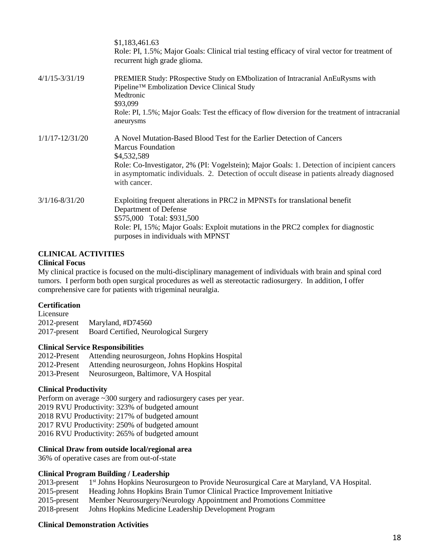|                     | \$1,183,461.63<br>Role: PI, 1.5%; Major Goals: Clinical trial testing efficacy of viral vector for treatment of<br>recurrent high grade glioma.                                                                                                                |
|---------------------|----------------------------------------------------------------------------------------------------------------------------------------------------------------------------------------------------------------------------------------------------------------|
| $4/1/15 - 3/31/19$  | PREMIER Study: PRospective Study on EMbolization of Intracranial AnEuRysms with<br>Pipeline™ Embolization Device Clinical Study<br>Medtronic<br>\$93,099<br>Role: PI, 1.5%; Major Goals: Test the efficacy of flow diversion for the treatment of intracranial |
|                     | aneurysms                                                                                                                                                                                                                                                      |
| $1/1/17 - 12/31/20$ | A Novel Mutation-Based Blood Test for the Earlier Detection of Cancers<br><b>Marcus Foundation</b><br>\$4,532,589                                                                                                                                              |
|                     | Role: Co-Investigator, 2% (PI: Vogelstein); Major Goals: 1. Detection of incipient cancers<br>in asymptomatic individuals. 2. Detection of occult disease in patients already diagnosed<br>with cancer.                                                        |
| $3/1/16 - 8/31/20$  | Exploiting frequent alterations in PRC2 in MPNSTs for translational benefit<br>Department of Defense                                                                                                                                                           |
|                     | \$575,000 Total: \$931,500                                                                                                                                                                                                                                     |
|                     | Role: PI, 15%; Major Goals: Exploit mutations in the PRC2 complex for diagnostic<br>purposes in individuals with MPNST                                                                                                                                         |

#### **CLINICAL ACTIVITIES**

#### **Clinical Focus**

My clinical practice is focused on the multi-disciplinary management of individuals with brain and spinal cord tumors. I perform both open surgical procedures as well as stereotactic radiosurgery. In addition, I offer comprehensive care for patients with trigeminal neuralgia.

#### **Certification**

Licensure 2012-present Maryland, #D74560 2017-present Board Certified, Neurological Surgery

#### **Clinical Service Responsibilities**

2012-Present Attending neurosurgeon, Johns Hopkins Hospital 2012-Present Attending neurosurgeon, Johns Hopkins Hospital 2013-Present Neurosurgeon, Baltimore, VA Hospital

#### **Clinical Productivity**

Perform on average ~300 surgery and radiosurgery cases per year. 2019 RVU Productivity: 323% of budgeted amount 2018 RVU Productivity: 217% of budgeted amount 2017 RVU Productivity: 250% of budgeted amount 2016 RVU Productivity: 265% of budgeted amount

#### **Clinical Draw from outside local/regional area**

36% of operative cases are from out-of-state

#### **Clinical Program Building / Leadership**

|              | 2013-present 1 <sup>st</sup> Johns Hopkins Neurosurgeon to Provide Neurosurgical Care at Maryland, VA Hospital. |
|--------------|-----------------------------------------------------------------------------------------------------------------|
| 2015-present | Heading Johns Hopkins Brain Tumor Clinical Practice Improvement Initiative                                      |
|              | 2015-present Member Neurosurgery/Neurology Appointment and Promotions Committee                                 |
| 2018-present | Johns Hopkins Medicine Leadership Development Program                                                           |

#### **Clinical Demonstration Activities**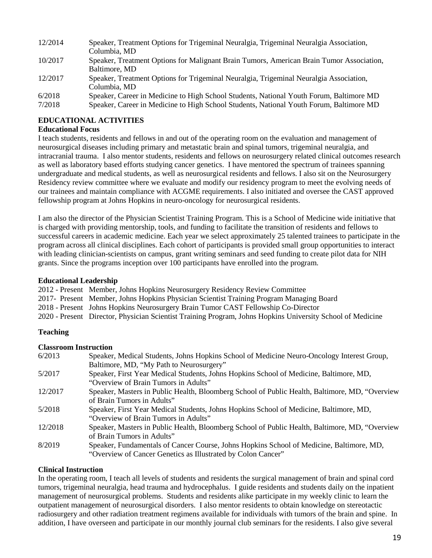| 12/2014 | Speaker, Treatment Options for Trigeminal Neuralgia, Trigeminal Neuralgia Association,   |
|---------|------------------------------------------------------------------------------------------|
|         | Columbia, MD                                                                             |
| 10/2017 | Speaker, Treatment Options for Malignant Brain Tumors, American Brain Tumor Association, |
|         | Baltimore, MD                                                                            |
| 12/2017 | Speaker, Treatment Options for Trigeminal Neuralgia, Trigeminal Neuralgia Association,   |
|         | Columbia, MD                                                                             |
| 6/2018  | Speaker, Career in Medicine to High School Students, National Youth Forum, Baltimore MD  |
| 7/2018  | Speaker, Career in Medicine to High School Students, National Youth Forum, Baltimore MD  |

#### **EDUCATIONAL ACTIVITIES**

#### **Educational Focus**

I teach students, residents and fellows in and out of the operating room on the evaluation and management of neurosurgical diseases including primary and metastatic brain and spinal tumors, trigeminal neuralgia, and intracranial trauma. I also mentor students, residents and fellows on neurosurgery related clinical outcomes research as well as laboratory based efforts studying cancer genetics. I have mentored the spectrum of trainees spanning undergraduate and medical students, as well as neurosurgical residents and fellows. I also sit on the Neurosurgery Residency review committee where we evaluate and modify our residency program to meet the evolving needs of our trainees and maintain compliance with ACGME requirements. I also initiated and oversee the CAST approved fellowship program at Johns Hopkins in neuro-oncology for neurosurgical residents.

I am also the director of the Physician Scientist Training Program. This is a School of Medicine wide initiative that is charged with providing mentorship, tools, and funding to facilitate the transition of residents and fellows to successful careers in academic medicine. Each year we select approximately 25 talented trainees to participate in the program across all clinical disciplines. Each cohort of participants is provided small group opportunities to interact with leading clinician-scientists on campus, grant writing seminars and seed funding to create pilot data for NIH grants. Since the programs inception over 100 participants have enrolled into the program.

#### **Educational Leadership**

2012 - Present Member, Johns Hopkins Neurosurgery Residency Review Committee

2017- Present Member, Johns Hopkins Physician Scientist Training Program Managing Board

2018 - Present Johns Hopkins Neurosurgery Brain Tumor CAST Fellowship Co-Director

2020 - Present Director, Physician Scientist Training Program, Johns Hopkins University School of Medicine

#### **Teaching**

#### **Classroom Instruction**

| 6/2013  | Speaker, Medical Students, Johns Hopkins School of Medicine Neuro-Oncology Interest Group,      |
|---------|-------------------------------------------------------------------------------------------------|
|         | Baltimore, MD, "My Path to Neurosurgery"                                                        |
| 5/2017  | Speaker, First Year Medical Students, Johns Hopkins School of Medicine, Baltimore, MD,          |
|         | "Overview of Brain Tumors in Adults"                                                            |
| 12/2017 | Speaker, Masters in Public Health, Bloomberg School of Public Health, Baltimore, MD, "Overview" |
|         | of Brain Tumors in Adults"                                                                      |
| 5/2018  | Speaker, First Year Medical Students, Johns Hopkins School of Medicine, Baltimore, MD,          |
|         | "Overview of Brain Tumors in Adults"                                                            |
| 12/2018 | Speaker, Masters in Public Health, Bloomberg School of Public Health, Baltimore, MD, "Overview" |
|         | of Brain Tumors in Adults"                                                                      |
| 8/2019  | Speaker, Fundamentals of Cancer Course, Johns Hopkins School of Medicine, Baltimore, MD,        |
|         | "Overview of Cancer Genetics as Illustrated by Colon Cancer"                                    |

#### **Clinical Instruction**

In the operating room, I teach all levels of students and residents the surgical management of brain and spinal cord tumors, trigeminal neuralgia, head trauma and hydrocephalus. I guide residents and students daily on the inpatient management of neurosurgical problems. Students and residents alike participate in my weekly clinic to learn the outpatient management of neurosurgical disorders. I also mentor residents to obtain knowledge on stereotactic radiosurgery and other radiation treatment regimens available for individuals with tumors of the brain and spine. In addition, I have overseen and participate in our monthly journal club seminars for the residents. I also give several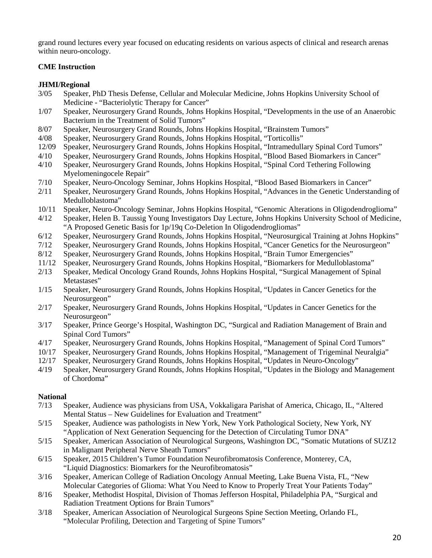grand round lectures every year focused on educating residents on various aspects of clinical and research arenas within neuro-oncology.

#### **CME Instruction**

#### **JHMI/Regional**

- 3/05 Speaker, PhD Thesis Defense, Cellular and Molecular Medicine, Johns Hopkins University School of Medicine - "Bacteriolytic Therapy for Cancer"
- 1/07 Speaker, Neurosurgery Grand Rounds, Johns Hopkins Hospital, "Developments in the use of an Anaerobic Bacterium in the Treatment of Solid Tumors"
- 8/07 Speaker, Neurosurgery Grand Rounds, Johns Hopkins Hospital, "Brainstem Tumors"
- 4/08 Speaker, Neurosurgery Grand Rounds, Johns Hopkins Hospital, "Torticollis"
- 12/09 Speaker, Neurosurgery Grand Rounds, Johns Hopkins Hospital, "Intramedullary Spinal Cord Tumors"
- 4/10 Speaker, Neurosurgery Grand Rounds, Johns Hopkins Hospital, "Blood Based Biomarkers in Cancer"
- 4/10 Speaker, Neurosurgery Grand Rounds, Johns Hopkins Hospital, "Spinal Cord Tethering Following Myelomeningocele Repair"
- 7/10 Speaker, Neuro-Oncology Seminar, Johns Hopkins Hospital, "Blood Based Biomarkers in Cancer"
- 2/11 Speaker, Neurosurgery Grand Rounds, Johns Hopkins Hospital, "Advances in the Genetic Understanding of Medulloblastoma"
- 10/11 Speaker, Neuro-Oncology Seminar, Johns Hopkins Hospital, "Genomic Alterations in Oligodendroglioma"
- 4/12 Speaker, Helen B. Taussig Young Investigators Day Lecture, Johns Hopkins University School of Medicine, "A Proposed Genetic Basis for 1p/19q Co-Deletion In Oligodendrogliomas"
- 6/12 Speaker, Neurosurgery Grand Rounds, Johns Hopkins Hospital, "Neurosurgical Training at Johns Hopkins"
- 7/12 Speaker, Neurosurgery Grand Rounds, Johns Hopkins Hospital, "Cancer Genetics for the Neurosurgeon"
- 8/12 Speaker, Neurosurgery Grand Rounds, Johns Hopkins Hospital, "Brain Tumor Emergencies"
- 11/12 Speaker, Neurosurgery Grand Rounds, Johns Hopkins Hospital, "Biomarkers for Medulloblastoma"
- 2/13 Speaker, Medical Oncology Grand Rounds, Johns Hopkins Hospital, "Surgical Management of Spinal Metastases"
- 1/15 Speaker, Neurosurgery Grand Rounds, Johns Hopkins Hospital, "Updates in Cancer Genetics for the Neurosurgeon"
- 2/17 Speaker, Neurosurgery Grand Rounds, Johns Hopkins Hospital, "Updates in Cancer Genetics for the Neurosurgeon"
- 3/17 Speaker, Prince George's Hospital, Washington DC, "Surgical and Radiation Management of Brain and Spinal Cord Tumors"
- 4/17 Speaker, Neurosurgery Grand Rounds, Johns Hopkins Hospital, "Management of Spinal Cord Tumors"
- 10/17 Speaker, Neurosurgery Grand Rounds, Johns Hopkins Hospital, "Management of Trigeminal Neuralgia"
- 12/17 Speaker, Neurosurgery Grand Rounds, Johns Hopkins Hospital, "Updates in Neuro-Oncology"
- 4/19 Speaker, Neurosurgery Grand Rounds, Johns Hopkins Hospital, "Updates in the Biology and Management of Chordoma"

#### **National**

- 7/13 Speaker, Audience was physicians from USA, Vokkaligara Parishat of America, Chicago, IL, "Altered Mental Status – New Guidelines for Evaluation and Treatment"
- 5/15 Speaker, Audience was pathologists in New York, New York Pathological Society, New York, NY "Application of Next Generation Sequencing for the Detection of Circulating Tumor DNA"
- 5/15 Speaker, American Association of Neurological Surgeons, Washington DC, "Somatic Mutations of SUZ12 in Malignant Peripheral Nerve Sheath Tumors"
- 6/15 Speaker, 2015 Children's Tumor Foundation Neurofibromatosis Conference, Monterey, CA, "Liquid Diagnostics: Biomarkers for the Neurofibromatosis"
- 3/16 Speaker, American College of Radiation Oncology Annual Meeting, Lake Buena Vista, FL, "New Molecular Categories of Glioma: What You Need to Know to Properly Treat Your Patients Today"
- 8/16 Speaker, Methodist Hospital, Division of Thomas Jefferson Hospital, Philadelphia PA, "Surgical and Radiation Treatment Options for Brain Tumors"
- 3/18 Speaker, American Association of Neurological Surgeons Spine Section Meeting, Orlando FL, "Molecular Profiling, Detection and Targeting of Spine Tumors"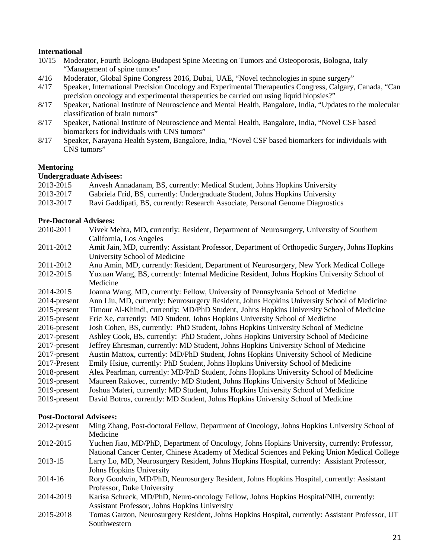#### **International**

- 10/15 Moderator, Fourth Bologna-Budapest Spine Meeting on Tumors and Osteoporosis, Bologna, Italy "Management of spine tumors"
- 4/16 Moderator, Global Spine Congress 2016, Dubai, UAE, "Novel technologies in spine surgery"
- 4/17 Speaker, International Precision Oncology and Experimental Therapeutics Congress, Calgary, Canada, "Can precision oncology and experimental therapeutics be carried out using liquid biopsies?"
- 8/17 Speaker, National Institute of Neuroscience and Mental Health, Bangalore, India, "Updates to the molecular classification of brain tumors"
- 8/17 Speaker, National Institute of Neuroscience and Mental Health, Bangalore, India, "Novel CSF based biomarkers for individuals with CNS tumors"
- 8/17 Speaker, Narayana Health System, Bangalore, India, "Novel CSF based biomarkers for individuals with CNS tumors"

#### **Mentoring**

#### **Undergraduate Advisees:**

| 2013-2015 | Anvesh Annadanam, BS, currently: Medical Student, Johns Hopkins University     |
|-----------|--------------------------------------------------------------------------------|
| 2013-2017 | Gabriela Frid, BS, currently: Undergraduate Student, Johns Hopkins University  |
| 2013-2017 | Ravi Gaddipati, BS, currently: Research Associate, Personal Genome Diagnostics |

# **Pre-Doctoral Advisees:**<br>2010-2011 Vivek M

- 2010-2011 Vivek Mehta, MD**, c**urrently: Resident, Department of Neurosurgery, University of Southern California, Los Angeles
- 2011-2012 Amit Jain, MD, currently: Assistant Professor, Department of Orthopedic Surgery, Johns Hopkins University School of Medicine
- 2011-2012 Anu Amin, MD, currently: Resident, Department of Neurosurgery, New York Medical College
- 2012-2015 Yuxuan Wang, BS, currently: Internal Medicine Resident, Johns Hopkins University School of Medicine
- 2014-2015 Joanna Wang, MD, currently: Fellow, University of Pennsylvania School of Medicine 2014-present Ann Liu, MD, currently: Neurosurgery Resident, Johns Hopkins University School of Medicine 2015-present Timour Al-Khindi, currently: MD/PhD Student, Johns Hopkins University School of Medicine
- 2015-present Eric Xe, currently: MD Student, Johns Hopkins University School of Medicine
- 2016-present Josh Cohen, BS, currently: PhD Student, Johns Hopkins University School of Medicine
- 2017-present Ashley Cook, BS, currently: PhD Student, Johns Hopkins University School of Medicine
- 2017-present Jeffrey Ehresman, currently: MD Student, Johns Hopkins University School of Medicine
- 2017-present Austin Mattox, currently: MD/PhD Student, Johns Hopkins University School of Medicine
- 2017-Present Emily Hsiue, currently: PhD Student, Johns Hopkins University School of Medicine
- 2018-present Alex Pearlman, currently: MD/PhD Student, Johns Hopkins University School of Medicine
- Maureen Rakovec, currently: MD Student, Johns Hopkins University School of Medicine
- 2019-present Joshua Materi, currently: MD Student, Johns Hopkins University School of Medicine
- 2019-present David Botros, currently: MD Student, Johns Hopkins University School of Medicine

#### **Post-Doctoral Advisees:**

2012-present Ming Zhang, Post-doctoral Fellow, Department of Oncology, Johns Hopkins University School of Medicine 2012-2015 Yuchen Jiao, MD/PhD, Department of Oncology, Johns Hopkins University, currently: Professor, National Cancer Center, Chinese Academy of Medical Sciences and Peking Union Medical College 2013-15 Larry Lo, MD, Neurosurgery Resident, Johns Hopkins Hospital, currently: Assistant Professor, Johns Hopkins University 2014-16 Rory Goodwin, MD/PhD, Neurosurgery Resident, Johns Hopkins Hospital, currently: Assistant Professor, Duke University 2014-2019 Karisa Schreck, MD/PhD, Neuro-oncology Fellow, Johns Hopkins Hospital/NIH, currently: Assistant Professor, Johns Hopkins University 2015-2018 Tomas Garzon, Neurosurgery Resident, Johns Hopkins Hospital, currently: Assistant Professor, UT Southwestern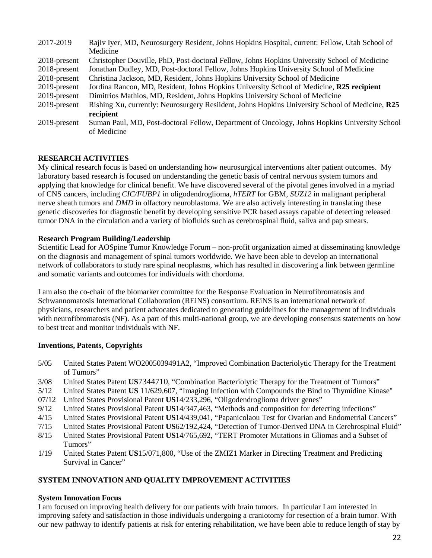| 2017-2019       | Rajiv Iyer, MD, Neurosurgery Resident, Johns Hopkins Hospital, current: Fellow, Utah School of  |
|-----------------|-------------------------------------------------------------------------------------------------|
|                 | Medicine                                                                                        |
| $2018$ -present | Christopher Douville, PhD, Post-doctoral Fellow, Johns Hopkins University School of Medicine    |
| $2018$ -present | Jonathan Dudley, MD, Post-doctoral Fellow, Johns Hopkins University School of Medicine          |
| 2018-present    | Christina Jackson, MD, Resident, Johns Hopkins University School of Medicine                    |
| 2019-present    | Jordina Rancon, MD, Resident, Johns Hopkins University School of Medicine, R25 recipient        |
| 2019-present    | Dimitrios Mathios, MD, Resident, Johns Hopkins University School of Medicine                    |
| 2019-present    | Rishing Xu, currently: Neurosurgery Resildent, Johns Hopkins University School of Medicine, R25 |
|                 | recipient                                                                                       |
| 2019-present    | Suman Paul, MD, Post-doctoral Fellow, Department of Oncology, Johns Hopkins University School   |
|                 | of Medicine                                                                                     |

#### **RESEARCH ACTIVITIES**

My clinical research focus is based on understanding how neurosurgical interventions alter patient outcomes. My laboratory based research is focused on understanding the genetic basis of central nervous system tumors and applying that knowledge for clinical benefit. We have discovered several of the pivotal genes involved in a myriad of CNS cancers, including *CIC/FUBP1* in oligodendroglioma, *hTERT* for GBM, *SUZ12* in malignant peripheral nerve sheath tumors and *DMD* in olfactory neuroblastoma. We are also actively interesting in translating these genetic discoveries for diagnostic benefit by developing sensitive PCR based assays capable of detecting released tumor DNA in the circulation and a variety of biofluids such as cerebrospinal fluid, saliva and pap smears.

#### **Research Program Building/Leadership**

Scientific Lead for AOSpine Tumor Knowledge Forum – non-profit organization aimed at disseminating knowledge on the diagnosis and management of spinal tumors worldwide. We have been able to develop an international network of collaborators to study rare spinal neoplasms, which has resulted in discovering a link between germline and somatic variants and outcomes for individuals with chordoma.

I am also the co-chair of the biomarker committee for the Response Evaluation in Neurofibromatosis and Schwannomatosis International Collaboration (REiNS) consortium. REiNS is an international network of physicians, researchers and patient advocates dedicated to generating guidelines for the management of individuals with neurofibromatosis (NF). As a part of this multi-national group, we are developing consensus statements on how to best treat and monitor individuals with NF.

#### **Inventions, Patents, Copyrights**

- 5/05 United States Patent WO2005039491A2, "Improved Combination Bacteriolytic Therapy for the Treatment of Tumors"
- 3/08 United States Patent **US**7344710, "Combination Bacteriolytic Therapy for the Treatment of Tumors"
- 5/12 United States Patent **US** 11/629,607, "Imaging Infection with Compounds the Bind to Thymidine Kinase"
- 07/12 United States Provisional Patent **US**14/233,296, "Oligodendroglioma driver genes"
- 9/12 United States Provisional Patent **US**14/347,463, "Methods and composition for detecting infections"
- 4/15 United States Provisional Patent **US**14/439,041, "Papanicolaou Test for Ovarian and Endometrial Cancers"
- 7/15 United States Provisional Patent **US**62/192,424, "Detection of Tumor-Derived DNA in Cerebrospinal Fluid"
- 8/15 United States Provisional Patent **US**14/765,692, "TERT Promoter Mutations in Gliomas and a Subset of Tumors"
- 1/19 United States Patent **US**15/071,800, "Use of the ZMIZ1 Marker in Directing Treatment and Predicting Survival in Cancer"

#### **SYSTEM INNOVATION AND QUALITY IMPROVEMENT ACTIVITIES**

#### **System Innovation Focus**

I am focused on improving health delivery for our patients with brain tumors. In particular I am interested in improving safety and satisfaction in those individuals undergoing a craniotomy for resection of a brain tumor. With our new pathway to identify patients at risk for entering rehabilitation, we have been able to reduce length of stay by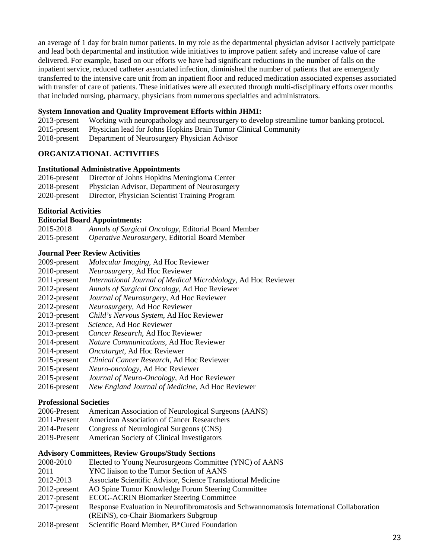an average of 1 day for brain tumor patients. In my role as the departmental physician advisor I actively participate and lead both departmental and institution wide initiatives to improve patient safety and increase value of care delivered. For example, based on our efforts we have had significant reductions in the number of falls on the inpatient service, reduced catheter associated infection, diminished the number of patients that are emergently transferred to the intensive care unit from an inpatient floor and reduced medication associated expenses associated with transfer of care of patients. These initiatives were all executed through multi-disciplinary efforts over months that included nursing, pharmacy, physicians from numerous specialties and administrators.

#### **System Innovation and Quality Improvement Efforts within JHMI:**

2013-present Working with neuropathology and neurosurgery to develop streamline tumor banking protocol. 2015-present Physician lead for Johns Hopkins Brain Tumor Clinical Community 2018-present Department of Neurosurgery Physician Advisor

#### **ORGANIZATIONAL ACTIVITIES**

#### **Institutional Administrative Appointments**

| $2016$ -present | Director of Johns Hopkins Meningioma Center    |
|-----------------|------------------------------------------------|
| $2018$ -present | Physician Advisor, Department of Neurosurgery  |
| 2020-present    | Director, Physician Scientist Training Program |

#### **Editorial Activities**

#### **Editorial Board Appointments:**

| 2015-2018       | Annals of Surgical Oncology, Editorial Board Member    |
|-----------------|--------------------------------------------------------|
| $2015$ -present | <i>Operative Neurosurgery</i> , Editorial Board Member |

#### **Journal Peer Review Activities**

| 2009-present                  | Molecular Imaging, Ad Hoc Reviewer                             |  |  |
|-------------------------------|----------------------------------------------------------------|--|--|
| 2010-present                  | Neurosurgery, Ad Hoc Reviewer                                  |  |  |
| 2011-present                  | International Journal of Medical Microbiology, Ad Hoc Reviewer |  |  |
| 2012-present                  | Annals of Surgical Oncology, Ad Hoc Reviewer                   |  |  |
| 2012-present                  | Journal of Neurosurgery, Ad Hoc Reviewer                       |  |  |
| 2012-present                  | Neurosurgery, Ad Hoc Reviewer                                  |  |  |
| 2013-present                  | Child's Nervous System, Ad Hoc Reviewer                        |  |  |
| 2013-present                  | Science, Ad Hoc Reviewer                                       |  |  |
| 2013-present                  | Cancer Research, Ad Hoc Reviewer                               |  |  |
| 2014-present                  | Nature Communications, Ad Hoc Reviewer                         |  |  |
| 2014-present                  | <i>Oncotarget</i> , Ad Hoc Reviewer                            |  |  |
| 2015-present                  | Clinical Cancer Research, Ad Hoc Reviewer                      |  |  |
| $2015$ -present               | Neuro-oncology, Ad Hoc Reviewer                                |  |  |
| 2015-present                  | Journal of Neuro-Oncology, Ad Hoc Reviewer                     |  |  |
| 2016-present                  | New England Journal of Medicine, Ad Hoc Reviewer               |  |  |
| <b>Professional Societies</b> |                                                                |  |  |

- 2006-Present American Association of Neurological Surgeons (AANS)
- 2011-Present American Association of Cancer Researchers
- 2014-Present Congress of Neurological Surgeons (CNS)
- 2019-Present American Society of Clinical Investigators

#### **Advisory Committees, Review Groups/Study Sections**

- 2008-2010 Elected to Young Neurosurgeons Committee (YNC) of AANS 2011 YNC liaison to the Tumor Section of AANS 2012-2013 Associate Scientific Advisor, Science Translational Medicine 2012-present AO Spine Tumor Knowledge Forum Steering Committee 2017-present ECOG-ACRIN Biomarker Steering Committee 2017-present Response Evaluation in Neurofibromatosis and Schwannomatosis International Collaboration (REiNS), co-Chair Biomarkers Subgroup
- 2018-present Scientific Board Member, B\*Cured Foundation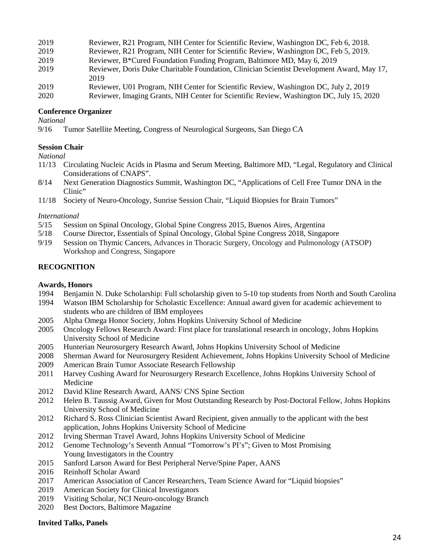| 2019                 | Reviewer, R21 Program, NIH Center for Scientific Review, Washington DC, Feb 6, 2018.       |
|----------------------|--------------------------------------------------------------------------------------------|
| 2019                 | Reviewer, R21 Program, NIH Center for Scientific Review, Washington DC, Feb 5, 2019.       |
| 2019                 | Reviewer, B*Cured Foundation Funding Program, Baltimore MD, May 6, 2019                    |
| 2019                 | Reviewer, Doris Duke Charitable Foundation, Clinician Scientist Development Award, May 17, |
|                      | 2019                                                                                       |
| 2019                 | Reviewer, U01 Program, NIH Center for Scientific Review, Washington DC, July 2, 2019       |
| $\sim$ $\sim$ $\sim$ | T ' O WITCH CONTROL TO A THE AGAO                                                          |

2020 Reviewer, Imaging Grants, NIH Center for Scientific Review, Washington DC, July 15, 2020

#### **Conference Organizer**

*National*

9/16 Tumor Satellite Meeting, Congress of Neurological Surgeons, San Diego CA

#### **Session Chair**

*National*

- 11/13 Circulating Nucleic Acids in Plasma and Serum Meeting, Baltimore MD, "Legal, Regulatory and Clinical Considerations of CNAPS".
- 8/14 Next Generation Diagnostics Summit, Washington DC, "Applications of Cell Free Tumor DNA in the Clinic"
- 11/18 Society of Neuro-Oncology, Sunrise Session Chair, "Liquid Biopsies for Brain Tumors"

#### *International*

- 5/15 Session on Spinal Oncology, Global Spine Congress 2015, Buenos Aires, Argentina
- 5/18 Course Director, Essentials of Spinal Oncology, Global Spine Congress 2018, Singapore
- 9/19 Session on Thymic Cancers, Advances in Thoracic Surgery, Oncology and Pulmonology (ATSOP) Workshop and Congress, Singapore

#### **RECOGNITION**

#### **Awards, Honors**

- 1994 Benjamin N. Duke Scholarship: Full scholarship given to 5-10 top students from North and South Carolina
- 1994 Watson IBM Scholarship for Scholastic Excellence: Annual award given for academic achievement to students who are children of IBM employees
- 2005 Alpha Omega Honor Society, Johns Hopkins University School of Medicine
- 2005 Oncology Fellows Research Award: First place for translational research in oncology, Johns Hopkins University School of Medicine
- 2005 Hunterian Neurosurgery Research Award, Johns Hopkins University School of Medicine
- 2008 Sherman Award for Neurosurgery Resident Achievement, Johns Hopkins University School of Medicine
- 2009 American Brain Tumor Associate Research Fellowship
- 2011 Harvey Cushing Award for Neurosurgery Research Excellence, Johns Hopkins University School of Medicine
- 2012 David Kline Research Award, AANS/ CNS Spine Section
- 2012 Helen B. Taussig Award, Given for Most Outstanding Research by Post-Doctoral Fellow, Johns Hopkins University School of Medicine
- 2012 Richard S. Ross Clinician Scientist Award Recipient, given annually to the applicant with the best application, Johns Hopkins University School of Medicine
- 2012 Irving Sherman Travel Award, Johns Hopkins University School of Medicine
- 2012 Genome Technology's Seventh Annual "Tomorrow's PI's"; Given to Most Promising Young Investigators in the Country
- 2015 Sanford Larson Award for Best Peripheral Nerve/Spine Paper, AANS
- 2016 Reinhoff Scholar Award
- 2017 American Association of Cancer Researchers, Team Science Award for "Liquid biopsies"
- 2019 American Society for Clinical Investigators
- 2019 Visiting Scholar, NCI Neuro-oncology Branch
- 2020 Best Doctors, Baltimore Magazine

#### **Invited Talks, Panels**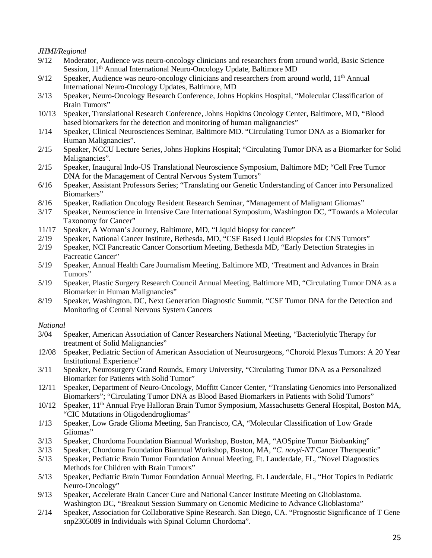#### *JHMI/Regional*

- 9/12 Moderator, Audience was neuro-oncology clinicians and researchers from around world, Basic Science Session, 11<sup>th</sup> Annual International Neuro-Oncology Update, Baltimore MD
- 9/12 Speaker, Audience was neuro-oncology clinicians and researchers from around world,  $11<sup>th</sup>$  Annual International Neuro-Oncology Updates, Baltimore, MD
- 3/13 Speaker, Neuro-Oncology Research Conference, Johns Hopkins Hospital, "Molecular Classification of Brain Tumors"
- 10/13 Speaker, Translational Research Conference, Johns Hopkins Oncology Center, Baltimore, MD, "Blood based biomarkers for the detection and monitoring of human malignancies"
- 1/14 Speaker, Clinical Neurosciences Seminar, Baltimore MD. "Circulating Tumor DNA as a Biomarker for Human Malignancies".
- 2/15 Speaker, NCCU Lecture Series, Johns Hopkins Hospital; "Circulating Tumor DNA as a Biomarker for Solid Malignancies".
- 2/15 Speaker, Inaugural Indo-US Translational Neuroscience Symposium, Baltimore MD; "Cell Free Tumor DNA for the Management of Central Nervous System Tumors"
- 6/16 Speaker, Assistant Professors Series; "Translating our Genetic Understanding of Cancer into Personalized Biomarkers"
- 8/16 Speaker, Radiation Oncology Resident Research Seminar, "Management of Malignant Gliomas"
- 3/17 Speaker, Neuroscience in Intensive Care International Symposium, Washington DC, "Towards a Molecular Taxonomy for Cancer"
- 11/17 Speaker, A Woman's Journey, Baltimore, MD, "Liquid biopsy for cancer"
- 2/19 Speaker, National Cancer Institute, Bethesda, MD, "CSF Based Liquid Biopsies for CNS Tumors"
- 2/19 Speaker, NCI Pancreatic Cancer Consortium Meeting, Bethesda MD, "Early Detection Strategies in Pacreatic Cancer"
- 5/19 Speaker, Annual Health Care Journalism Meeting, Baltimore MD, 'Treatment and Advances in Brain Tumors"
- 5/19 Speaker, Plastic Surgery Research Council Annual Meeting, Baltimore MD, "Circulating Tumor DNA as a Biomarker in Human Malignancies"
- 8/19 Speaker, Washington, DC, Next Generation Diagnostic Summit, "CSF Tumor DNA for the Detection and Monitoring of Central Nervous System Cancers

#### *National*

- 3/04 Speaker, American Association of Cancer Researchers National Meeting, "Bacteriolytic Therapy for treatment of Solid Malignancies"
- 12/08 Speaker, Pediatric Section of American Association of Neurosurgeons, "Choroid Plexus Tumors: A 20 Year Institutional Experience"
- 3/11 Speaker, Neurosurgery Grand Rounds, Emory University, "Circulating Tumor DNA as a Personalized Biomarker for Patients with Solid Tumor"
- 12/11 Speaker, Department of Neuro-Oncology, Moffitt Cancer Center, "Translating Genomics into Personalized Biomarkers"; "Circulating Tumor DNA as Blood Based Biomarkers in Patients with Solid Tumors"
- 10/12 Speaker, 11th Annual Frye Halloran Brain Tumor Symposium, Massachusetts General Hospital, Boston MA, "CIC Mutations in Oligodendrogliomas"
- 1/13 Speaker, Low Grade Glioma Meeting, San Francisco, CA, "Molecular Classification of Low Grade Gliomas"
- 3/13 Speaker, Chordoma Foundation Biannual Workshop, Boston, MA, "AOSpine Tumor Biobanking"
- 3/13 Speaker, Chordoma Foundation Biannual Workshop, Boston, MA, "*C. novyi-NT* Cancer Therapeutic"
- 5/13 Speaker, Pediatric Brain Tumor Foundation Annual Meeting, Ft. Lauderdale, FL, "Novel Diagnostics Methods for Children with Brain Tumors"
- 5/13 Speaker, Pediatric Brain Tumor Foundation Annual Meeting, Ft. Lauderdale, FL, "Hot Topics in Pediatric Neuro-Oncology"
- 9/13 Speaker, Accelerate Brain Cancer Cure and National Cancer Institute Meeting on Glioblastoma. Washington DC, "Breakout Session Summary on Genomic Medicine to Advance Glioblastoma"
- 2/14 Speaker, Association for Collaborative Spine Research. San Diego, CA. "Prognostic Significance of T Gene snp2305089 in Individuals with Spinal Column Chordoma".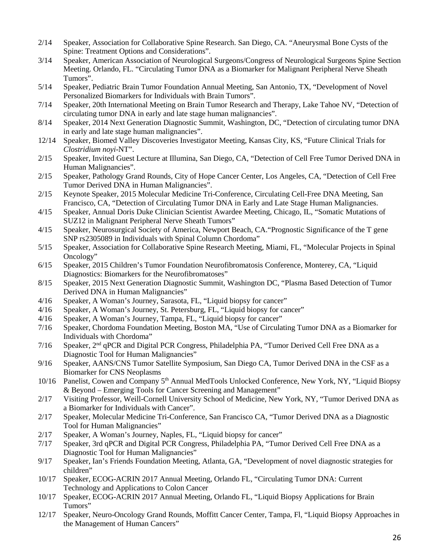- 2/14 Speaker, Association for Collaborative Spine Research. San Diego, CA. "Aneurysmal Bone Cysts of the Spine: Treatment Options and Considerations".
- 3/14 Speaker, American Association of Neurological Surgeons/Congress of Neurological Surgeons Spine Section Meeting. Orlando, FL. "Circulating Tumor DNA as a Biomarker for Malignant Peripheral Nerve Sheath Tumors".
- 5/14 Speaker, Pediatric Brain Tumor Foundation Annual Meeting, San Antonio, TX, "Development of Novel Personalized Biomarkers for Individuals with Brain Tumors".
- 7/14 Speaker, 20th International Meeting on Brain Tumor Research and Therapy, Lake Tahoe NV, "Detection of circulating tumor DNA in early and late stage human malignancies".
- 8/14 Speaker, 2014 Next Generation Diagnostic Summit, Washington, DC, "Detection of circulating tumor DNA in early and late stage human malignancies".
- 12/14 Speaker, Biomed Valley Discoveries Investigator Meeting, Kansas City, KS, "Future Clinical Trials for *Clostridium noyi*-NT".
- 2/15 Speaker, Invited Guest Lecture at Illumina, San Diego, CA, "Detection of Cell Free Tumor Derived DNA in Human Malignancies".
- 2/15 Speaker, Pathology Grand Rounds, City of Hope Cancer Center, Los Angeles, CA, "Detection of Cell Free Tumor Derived DNA in Human Malignancies".
- 2/15 Keynote Speaker, 2015 Molecular Medicine Tri-Conference, Circulating Cell-Free DNA Meeting, San Francisco, CA, "Detection of Circulating Tumor DNA in Early and Late Stage Human Malignancies.
- 4/15 Speaker, Annual Doris Duke Clinician Scientist Awardee Meeting, Chicago, IL, "Somatic Mutations of SUZ12 in Malignant Peripheral Nerve Sheath Tumors"
- 4/15 Speaker, Neurosurgical Society of America, Newport Beach, CA."Prognostic Significance of the T gene SNP rs2305089 in Individuals with Spinal Column Chordoma"
- 5/15 Speaker, Association for Collaborative Spine Research Meeting, Miami, FL, "Molecular Projects in Spinal Oncology"
- 6/15 Speaker, 2015 Children's Tumor Foundation Neurofibromatosis Conference, Monterey, CA, "Liquid Diagnostics: Biomarkers for the Neurofibromatoses"
- 8/15 Speaker, 2015 Next Generation Diagnostic Summit, Washington DC, "Plasma Based Detection of Tumor Derived DNA in Human Malignancies"
- 4/16 Speaker, A Woman's Journey, Sarasota, FL, "Liquid biopsy for cancer"
- 4/16 Speaker, A Woman's Journey, St. Petersburg, FL, "Liquid biopsy for cancer"
- 4/16 Speaker, A Woman's Journey, Tampa, FL, "Liquid biopsy for cancer"
- 7/16 Speaker, Chordoma Foundation Meeting, Boston MA, "Use of Circulating Tumor DNA as a Biomarker for Individuals with Chordoma"
- 7/16 Speaker, 2<sup>nd</sup> qPCR and Digital PCR Congress, Philadelphia PA, "Tumor Derived Cell Free DNA as a Diagnostic Tool for Human Malignancies"
- 9/16 Speaker, AANS/CNS Tumor Satellite Symposium, San Diego CA, Tumor Derived DNA in the CSF as a Biomarker for CNS Neoplasms
- 10/16 Panelist, Cowen and Company 5th Annual MedTools Unlocked Conference, New York, NY, "Liquid Biopsy & Beyond – Emerging Tools for Cancer Screening and Management"
- 2/17 Visiting Professor, Weill-Cornell University School of Medicine, New York, NY, "Tumor Derived DNA as a Biomarker for Individuals with Cancer".
- 2/17 Speaker, Molecular Medicine Tri-Conference, San Francisco CA, "Tumor Derived DNA as a Diagnostic Tool for Human Malignancies"
- 2/17 Speaker, A Woman's Journey, Naples, FL, "Liquid biopsy for cancer"
- 7/17 Speaker, 3rd qPCR and Digital PCR Congress, Philadelphia PA, "Tumor Derived Cell Free DNA as a Diagnostic Tool for Human Malignancies"
- 9/17 Speaker, Ian's Friends Foundation Meeting, Atlanta, GA, "Development of novel diagnostic strategies for children"
- 10/17 Speaker, ECOG-ACRIN 2017 Annual Meeting, Orlando FL, "Circulating Tumor DNA: Current Technology and Applications to Colon Cancer
- 10/17 Speaker, ECOG-ACRIN 2017 Annual Meeting, Orlando FL, "Liquid Biopsy Applications for Brain Tumors"
- 12/17 Speaker, Neuro-Oncology Grand Rounds, Moffitt Cancer Center, Tampa, Fl, "Liquid Biopsy Approaches in the Management of Human Cancers"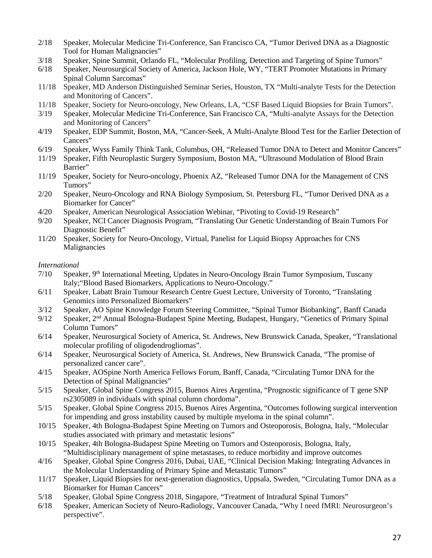- 2/18 Speaker, Molecular Medicine Tri-Conference, San Francisco CA, "Tumor Derived DNA as a Diagnostic Tool for Human Malignancies"
- 3/18 Speaker, Spine Summit, Orlando FL, "Molecular Profiling, Detection and Targeting of Spine Tumors"
- 6/18 Speaker, Neurosurgical Society of America, Jackson Hole, WY, "TERT Promoter Mutations in Primary Spinal Column Sarcomas"
- 11/18 Speaker, MD Anderson Distinguished Seminar Series, Houston, TX "Multi-analyte Tests for the Detection and Monitoring of Cancers".
- 11/18 Speaker, Society for Neuro-oncology, New Orleans, LA, "CSF Based Liquid Biopsies for Brain Tumors".
- 3/19 Speaker, Molecular Medicine Tri-Conference, San Francisco CA, "Multi-analyte Assays for the Detection and Monitoring of Cancers"
- 4/19 Speaker, EDP Summit, Boston, MA, "Cancer-Seek, A Multi-Analyte Blood Test for the Earlier Detection of Cancers"
- 6/19 Speaker, Wyss Family Think Tank, Columbus, OH, "Released Tumor DNA to Detect and Monitor Cancers"
- 11/19 Speaker, Fifth Neuroplastic Surgery Symposium, Boston MA, "Ultrasound Modulation of Blood Brain Barrier"
- 11/19 Speaker, Society for Neuro-oncology, Phoenix AZ, "Released Tumor DNA for the Management of CNS Tumors"
- 2/20 Speaker, Neuro-Oncology and RNA Biology Symposium, St. Petersburg FL, "Tumor Derived DNA as a Biomarker for Cancer"
- 4/20 Speaker, American Neurological Association Webinar, "Pivoting to Covid-19 Research"
- 9/20 Speaker, NCI Cancer Diagnosis Program, "Translating Our Genetic Understanding of Brain Tumors For Diagnostic Benefit"
- 11/20 Speaker, Society for Neuro-Oncology, Virtual, Panelist for Liquid Biopsy Approaches for CNS Malignancies

#### *International*

- 7/10 Speaker, 9th International Meeting, Updates in Neuro-Oncology Brain Tumor Symposium, Tuscany Italy;"Blood Based Biomarkers, Applications to Neuro-Oncology."
- 6/11 Speaker, Labatt Brain Tumour Research Centre Guest Lecture, University of Toronto, "Translating Genomics into Personalized Biomarkers"
- 3/12 Speaker, AO Spine Knowledge Forum Steering Committee, "Spinal Tumor Biobanking", Banff Canada
- 9/12 Speaker, 2nd Annual Bologna-Budapest Spine Meeting, Budapest, Hungary, "Genetics of Primary Spinal Column Tumors"
- 6/14 Speaker, Neurosurgical Society of America, St. Andrews, New Brunswick Canada, Speaker, "Translational molecular profiling of oligodendrogliomas".
- 6/14 Speaker, Neurosurgical Society of America, St. Andrews, New Brunswick Canada, "The promise of personalized cancer care".
- 4/15 Speaker, AOSpine North America Fellows Forum, Banff, Canada, "Circulating Tumor DNA for the Detection of Spinal Malignancies"
- 5/15 Speaker, Global Spine Congress 2015, Buenos Aires Argentina, "Prognostic significance of T gene SNP rs2305089 in individuals with spinal column chordoma".
- 5/15 Speaker, Global Spine Congress 2015, Buenos Aires Argentina, "Outcomes following surgical intervention for impending and gross instability caused by multiple myeloma in the spinal column".
- 10/15 Speaker, 4th Bologna-Budapest Spine Meeting on Tumors and Osteoporosis, Bologna, Italy, "Molecular studies associated with primary and metastatic lesions"
- 10/15 Speaker, 4th Bologna-Budapest Spine Meeting on Tumors and Osteoporosis, Bologna, Italy, "Multidisciplinary management of spine metastases, to reduce morbidity and improve outcomes
- 4/16 Speaker, Global Spine Congress 2016, Dubai, UAE, "Clinical Decision Making: Integrating Advances in the Molecular Understanding of Primary Spine and Metastatic Tumors"
- 11/17 Speaker, Liquid Biopsies for next-generation diagnostics, Uppsala, Sweden, "Circulating Tumor DNA as a Biomarker for Human Cancers"
- 5/18 Speaker, Global Spine Congress 2018, Singapore, "Treatment of Intradural Spinal Tumors"
- 6/18 Speaker, American Society of Neuro-Radiology, Vancouver Canada, "Why I need fMRI: Neurosurgeon's perspective".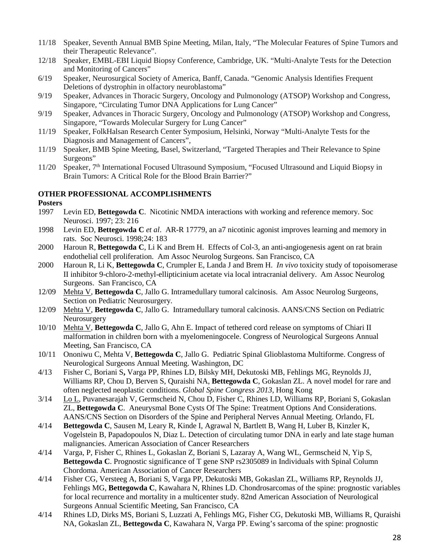- 11/18 Speaker, Seventh Annual BMB Spine Meeting, Milan, Italy, "The Molecular Features of Spine Tumors and their Therapeutic Relevance".
- 12/18 Speaker, EMBL-EBI Liquid Biopsy Conference, Cambridge, UK. "Multi-Analyte Tests for the Detection and Monitoring of Cancers"
- 6/19 Speaker, Neurosurgical Society of America, Banff, Canada. "Genomic Analysis Identifies Frequent Deletions of dystrophin in olfactory neuroblastoma"
- 9/19 Speaker, Advances in Thoracic Surgery, Oncology and Pulmonology (ATSOP) Workshop and Congress, Singapore, "Circulating Tumor DNA Applications for Lung Cancer"
- 9/19 Speaker, Advances in Thoracic Surgery, Oncology and Pulmonology (ATSOP) Workshop and Congress, Singapore, "Towards Molecular Surgery for Lung Cancer"
- 11/19 Speaker, FolkHalsan Research Center Symposium, Helsinki, Norway "Multi-Analyte Tests for the Diagnosis and Management of Cancers",
- 11/19 Speaker, BMB Spine Meeting, Basel, Switzerland, "Targeted Therapies and Their Relevance to Spine Surgeons"
- 11/20 Speaker, 7th International Focused Ultrasound Symposium, "Focused Ultrasound and Liquid Biopsy in Brain Tumors: A Critical Role for the Blood Brain Barrier?"

#### **OTHER PROFESSIONAL ACCOMPLISHMENTS**

#### **Posters**

- 1997 Levin ED, **Bettegowda C**. Nicotinic NMDA interactions with working and reference memory. Soc Neurosci. 1997; 23: 216
- 1998 Levin ED, **Bettegowda C** *et al*. AR-R 17779, an a7 nicotinic agonist improves learning and memory in rats. Soc Neurosci. 1998;24: 183
- 2000 Haroun R, **Bettegowda C**, Li K and Brem H. Effects of Col-3, an anti-angiogenesis agent on rat brain endothelial cell proliferation. Am Assoc Neurolog Surgeons. San Francisco, CA
- 2000 Haroun R, Li K, **Bettegowda C**, Crumpler E, Landa J and Brem H. *In vivo* toxicity study of topoisomerase II inhibitor 9-chloro-2-methyl-ellipticinium acetate via local intracranial delivery. Am Assoc Neurolog Surgeons. San Francisco, CA
- 12/09 Mehta V, **Bettegowda C**, Jallo G. Intramedullary tumoral calcinosis. Am Assoc Neurolog Surgeons, Section on Pediatric Neurosurgery.
- 12/09 Mehta V, **Bettegowda C**, Jallo G. Intramedullary tumoral calcinosis. AANS/CNS Section on Pediatric **Neurosurgery**
- 10/10 Mehta V, **Bettegowda C**, Jallo G, Ahn E. Impact of tethered cord release on symptoms of Chiari II malformation in children born with a myelomeningocele. Congress of Neurological Surgeons Annual Meeting, San Francisco, CA
- 10/11 Ononiwu C, Mehta V, **Bettegowda C**, Jallo G. Pediatric Spinal Glioblastoma Multiforme. Congress of Neurological Surgeons Annual Meeting. Washington, DC
- 4/13 Fisher C, Boriani S**,** Varga PP, Rhines LD, Bilsky MH, Dekutoski MB, Fehlings MG, Reynolds JJ, Williams RP, Chou D, Berven S, Quraishi NA, **Bettegowda C**, Gokaslan ZL. A novel model for rare and often neglected neoplastic conditions. *Global Spine Congress 2013,* Hong Kong
- 3/14 Lo L, Puvanesarajah V, Germscheid N, Chou D, Fisher C, Rhines LD, Williams RP, Boriani S, Gokaslan ZL, **Bettegowda C**. Aneurysmal Bone Cysts Of The Spine: Treatment Options And Considerations. AANS/CNS Section on Disorders of the Spine and Peripheral Nerves Annual Meeting. Orlando, FL
- 4/14 **Bettegowda C**, Sausen M, Leary R, Kinde I, Agrawal N, Bartlett B, Wang H, Luber B, Kinzler K, Vogelstein B, Papadopoulos N, Diaz L. Detection of circulating tumor DNA in early and late stage human malignancies. American Association of Cancer Researchers
- 4/14 Varga, P, Fisher C, Rhines L, Gokaslan Z, Boriani S, Lazaray A, Wang WL, Germscheid N, Yip S, **Bettegowda C**. Prognostic significance of T gene SNP rs2305089 in Individuals with Spinal Column Chordoma. American Association of Cancer Researchers
- 4/14 Fisher CG, Versteeg A, Boriani S, Varga PP, Dekutoski MB, Gokaslan ZL, Williams RP, Reynolds JJ, Fehlings MG, **Bettegowda C**, Kawahara N, Rhines LD. Chondrosarcomas of the spine: prognostic variables for local recurrence and mortality in a multicenter study. 82nd American Association of Neurological Surgeons Annual Scientific Meeting, San Francisco, CA
- 4/14 Rhines LD, Dirks MS, Boriani S, Luzzati A, Fehlings MG, Fisher CG, Dekutoski MB, Williams R, Quraishi NA, Gokaslan ZL, **Bettegowda C**, Kawahara N, Varga PP. Ewing's sarcoma of the spine: prognostic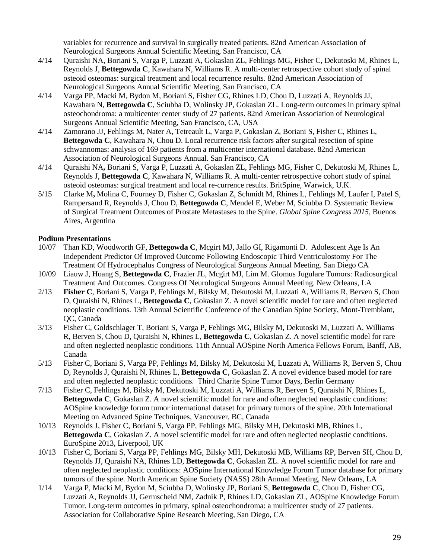variables for recurrence and survival in surgically treated patients. 82nd American Association of Neurological Surgeons Annual Scientific Meeting, San Francisco, CA

- 4/14 Quraishi NA, Boriani S, Varga P, Luzzati A, Gokaslan ZL, Fehlings MG, Fisher C, Dekutoski M, Rhines L, Reynolds J, **Bettegowda C**, Kawahara N, Williams R. A multi-center retrospective cohort study of spinal osteoid osteomas: surgical treatment and local recurrence results. 82nd American Association of Neurological Surgeons Annual Scientific Meeting, San Francisco, CA
- 4/14 Varga PP, Macki M, Bydon M, Boriani S, Fisher CG, Rhines LD, Chou D, Luzzati A, Reynolds JJ, Kawahara N, **Bettegowda C**, Sciubba D, Wolinsky JP, Gokaslan ZL. Long-term outcomes in primary spinal osteochondroma: a multicenter center study of 27 patients. 82nd American Association of Neurological Surgeons Annual Scientific Meeting, San Francisco, CA, USA
- 4/14 Zamorano JJ, Fehlings M, Nater A, Tetreault L, Varga P, Gokaslan Z, Boriani S, Fisher C, Rhines L, **Bettegowda C**, Kawahara N, Chou D. Local recurrence risk factors after surgical resection of spine schwannomas: analysis of 169 patients from a multicenter international database. 82nd American Association of Neurological Surgeons Annual. San Francisco, CA
- 4/14 Quraishi NA**,** Boriani S, Varga P, Luzzati A, Gokaslan ZL, Fehlings MG, Fisher C, Dekutoski M, Rhines L, Reynolds J, **Bettegowda C**, Kawahara N, Williams R. A multi-center retrospective cohort study of spinal osteoid osteomas: surgical treatment and local re-currence results. BritSpine, Warwick, U.K.
- 5/15 Clarke M**,** Molina C, Fourney D, Fisher C, Gokaslan Z, Schmidt M, Rhines L, Fehlings M, Laufer I, Patel S, Rampersaud R, Reynolds J, Chou D, **Bettegowda C**, Mendel E, Weber M, Sciubba D. Systematic Review of Surgical Treatment Outcomes of Prostate Metastases to the Spine. *Global Spine Congress 2015,* Buenos Aires, Argentina

#### **Podium Presentations**

- 10/07 Than KD, Woodworth GF, **Bettegowda C**, Mcgirt MJ, Jallo GI, Rigamonti D. Adolescent Age Is An Independent Predictor Of Improved Outcome Following Endoscopic Third Ventriculostomy For The Treatment Of Hydrocephalus Congress of Neurological Surgeons Annual Meeting. San Diego CA
- 10/09 Liauw J, Hoang S, **Bettegowda C**, Frazier JL, Mcgirt MJ, Lim M. Glomus Jugulare Tumors: Radiosurgical Treatment And Outcomes. Congress Of Neurological Surgeons Annual Meeting. New Orleans, LA
- 2/13 **Fisher C**, Boriani S, Varga P, Fehlings M, Bilsky M, Dekutoski M, Luzzati A, Williams R, Berven S, Chou D, Quraishi N, Rhines L, **Bettegowda C**, Gokaslan Z. A novel scientific model for rare and often neglected neoplastic conditions. 13th Annual Scientific Conference of the Canadian Spine Society, Mont-Tremblant, QC, Canada
- 3/13 Fisher C, Goldschlager T, Boriani S, Varga P, Fehlings MG, Bilsky M, Dekutoski M, Luzzati A, Williams R, Berven S, Chou D, Quraishi N, Rhines L, **Bettegowda C**, Gokaslan Z. A novel scientific model for rare and often neglected neoplastic conditions. 11th Annual AOSpine North America Fellows Forum, Banff, AB, Canada
- 5/13 Fisher C, Boriani S, Varga PP, Fehlings M, Bilsky M, Dekutoski M, Luzzati A, Williams R, Berven S, Chou D, Reynolds J, Quraishi N, Rhines L, **Bettegowda C**, Gokaslan Z. A novel evidence based model for rare and often neglected neoplastic conditions. Third Charite Spine Tumor Days, Berlin Germany
- 7/13 Fisher C, Fehlings M, Bilsky M, Dekutoski M, Luzzati A, Williams R, Berven S, Quraishi N, Rhines L, **Bettegowda C**, Gokaslan Z. A novel scientific model for rare and often neglected neoplastic conditions: AOSpine knowledge forum tumor international dataset for primary tumors of the spine. 20th International Meeting on Advanced Spine Techniques, Vancouver, BC, Canada
- 10/13 Reynolds J, Fisher C, Boriani S, Varga PP, Fehlings MG, Bilsky MH, Dekutoski MB, Rhines L, **Bettegowda C**, Gokaslan Z. A novel scientific model for rare and often neglected neoplastic conditions. EuroSpine 2013, Liverpool, UK
- 10/13 Fisher C, Boriani S, Varga PP, Fehlings MG, Bilsky MH, Dekutoski MB, Williams RP, Berven SH, Chou D, Reynolds JJ, Quraishi NA, Rhines LD, **Bettegowda C**, Gokaslan ZL. A novel scientific model for rare and often neglected neoplastic conditions: AOSpine International Knowledge Forum Tumor database for primary tumors of the spine. North American Spine Society (NASS) 28th Annual Meeting, New Orleans, LA
- 1/14 Varga P, Macki M, Bydon M, Sciubba D, Wolinsky JP, Boriani S, **Bettegowda C**, Chou D, Fisher CG, Luzzati A, Reynolds JJ, Germscheid NM, Zadnik P, Rhines LD, Gokaslan ZL, AOSpine Knowledge Forum Tumor. Long-term outcomes in primary, spinal osteochondroma: a multicenter study of 27 patients. Association for Collaborative Spine Research Meeting, San Diego, CA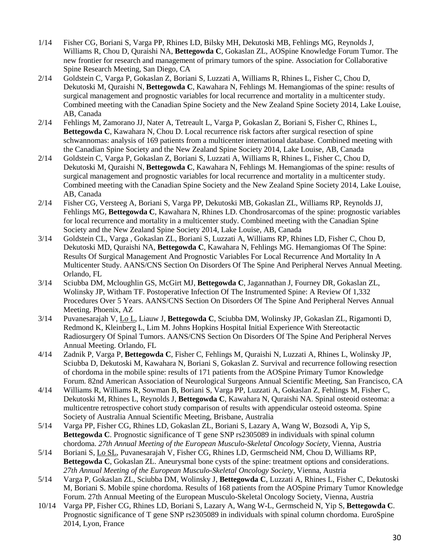- 1/14 Fisher CG, Boriani S, Varga PP, Rhines LD, Bilsky MH, Dekutoski MB, Fehlings MG, Reynolds J, Williams R, Chou D, Quraishi NA, **Bettegowda C**, Gokaslan ZL, AOSpine Knowledge Forum Tumor. The new frontier for research and management of primary tumors of the spine. Association for Collaborative Spine Research Meeting, San Diego, CA
- 2/14 Goldstein C, Varga P, Gokaslan Z, Boriani S, Luzzati A, Williams R, Rhines L, Fisher C, Chou D, Dekutoski M, Quraishi N, **Bettegowda C**, Kawahara N, Fehlings M. Hemangiomas of the spine: results of surgical management and prognostic variables for local recurrence and mortality in a multicenter study. Combined meeting with the Canadian Spine Society and the New Zealand Spine Society 2014, Lake Louise, AB, Canada
- 2/14 Fehlings M, Zamorano JJ, Nater A, Tetreault L, Varga P, Gokaslan Z, Boriani S, Fisher C, Rhines L, **Bettegowda C**, Kawahara N, Chou D. Local recurrence risk factors after surgical resection of spine schwannomas: analysis of 169 patients from a multicenter international database. Combined meeting with the Canadian Spine Society and the New Zealand Spine Society 2014, Lake Louise, AB, Canada
- 2/14 Goldstein C, Varga P, Gokaslan Z, Boriani S, Luzzati A, Williams R, Rhines L, Fisher C, Chou D, Dekutoski M, Quraishi N, **Bettegowda C**, Kawahara N, Fehlings M. Hemangiomas of the spine: results of surgical management and prognostic variables for local recurrence and mortality in a multicenter study. Combined meeting with the Canadian Spine Society and the New Zealand Spine Society 2014, Lake Louise, AB, Canada
- 2/14 Fisher CG, Versteeg A, Boriani S, Varga PP, Dekutoski MB, Gokaslan ZL, Williams RP, Reynolds JJ, Fehlings MG, **Bettegowda C**, Kawahara N, Rhines LD. Chondrosarcomas of the spine: prognostic variables for local recurrence and mortality in a multicenter study. Combined meeting with the Canadian Spine Society and the New Zealand Spine Society 2014, Lake Louise, AB, Canada
- 3/14 Goldstein CL, Varga , Gokaslan ZL, Boriani S, Luzzati A, Williams RP, Rhines LD, Fisher C, Chou D, Dekutoski MD, Quraishi NA, **Bettegowda C**, Kawahara N, Fehlings MG. Hemangiomas Of The Spine: Results Of Surgical Management And Prognostic Variables For Local Recurrence And Mortality In A Multicenter Study. AANS/CNS Section On Disorders Of The Spine And Peripheral Nerves Annual Meeting. Orlando, FL
- 3/14 Sciubba DM, Mcloughlin GS, McGirt MJ, **Bettegowda C**, Jagannathan J, Fourney DR, Gokaslan ZL, Wolinsky JP, Witham TF. Postoperative Infection Of The Instrumented Spine: A Review Of 1,332 Procedures Over 5 Years. AANS/CNS Section On Disorders Of The Spine And Peripheral Nerves Annual Meeting. Phoenix, AZ
- 3/14 Puvanesarajah V, Lo L, Liauw J, **Bettegowda C**, Sciubba DM, Wolinsky JP, Gokaslan ZL, Rigamonti D, Redmond K, Kleinberg L, Lim M. Johns Hopkins Hospital Initial Experience With Stereotactic Radiosurgery Of Spinal Tumors. AANS/CNS Section On Disorders Of The Spine And Peripheral Nerves Annual Meeting. Orlando, FL
- 4/14 Zadnik P, Varga P, **Bettegowda C**, Fisher C, Fehlings M, Quraishi N, Luzzati A, Rhines L, Wolinsky JP, Sciubba D, Dekutoski M, Kawahara N, Boriani S, Gokaslan Z. Survival and recurrence following resection of chordoma in the mobile spine: results of 171 patients from the AOSpine Primary Tumor Knowledge Forum. 82nd American Association of Neurological Surgeons Annual Scientific Meeting, San Francisco, CA
- 4/14 Williams R, Williams R, Sowman B, Boriani S, Varga PP, Luzzati A, Gokaslan Z, Fehlings M, Fisher C, Dekutoski M, Rhines L, Reynolds J, **Bettegowda C**, Kawahara N, Quraishi NA. Spinal osteoid osteoma: a multicentre retrospective cohort study comparison of results with appendicular osteoid osteoma. Spine Society of Australia Annual Scientific Meeting, Brisbane, Australia
- 5/14 Varga PP, Fisher CG, Rhines LD, Gokaslan ZL, Boriani S, Lazary A, Wang W, Bozsodi A, Yip S, **Bettegowda C**. Prognostic significance of T gene SNP rs2305089 in individuals with spinal column chordoma. *27th Annual Meeting of the European Musculo-Skeletal Oncology Society,* Vienna, Austria
- 5/14 Boriani S, Lo SL, Puvanesarajah V, Fisher CG, Rhines LD, Germscheid NM, Chou D, Williams RP, **Bettegowda C**, Gokaslan ZL. Aneurysmal bone cysts of the spine: treatment options and considerations. *27th Annual Meeting of the European Musculo-Skeletal Oncology Society,* Vienna, Austria
- 5/14 Varga P, Gokaslan ZL, Sciubba DM, Wolinsky J, **Bettegowda C**, Luzzati A, Rhines L, Fisher C, Dekutoski M, Boriani S. Mobile spine chordoma. Results of 168 patients from the AOSpine Primary Tumor Knowledge Forum. 27th Annual Meeting of the European Musculo-Skeletal Oncology Society, Vienna, Austria
- 10/14 Varga PP, Fisher CG, Rhines LD, Boriani S, Lazary A, Wang W-L, Germscheid N, Yip S, **Bettegowda C**. Prognostic significance of T gene SNP rs2305089 in individuals with spinal column chordoma. EuroSpine 2014, Lyon, France